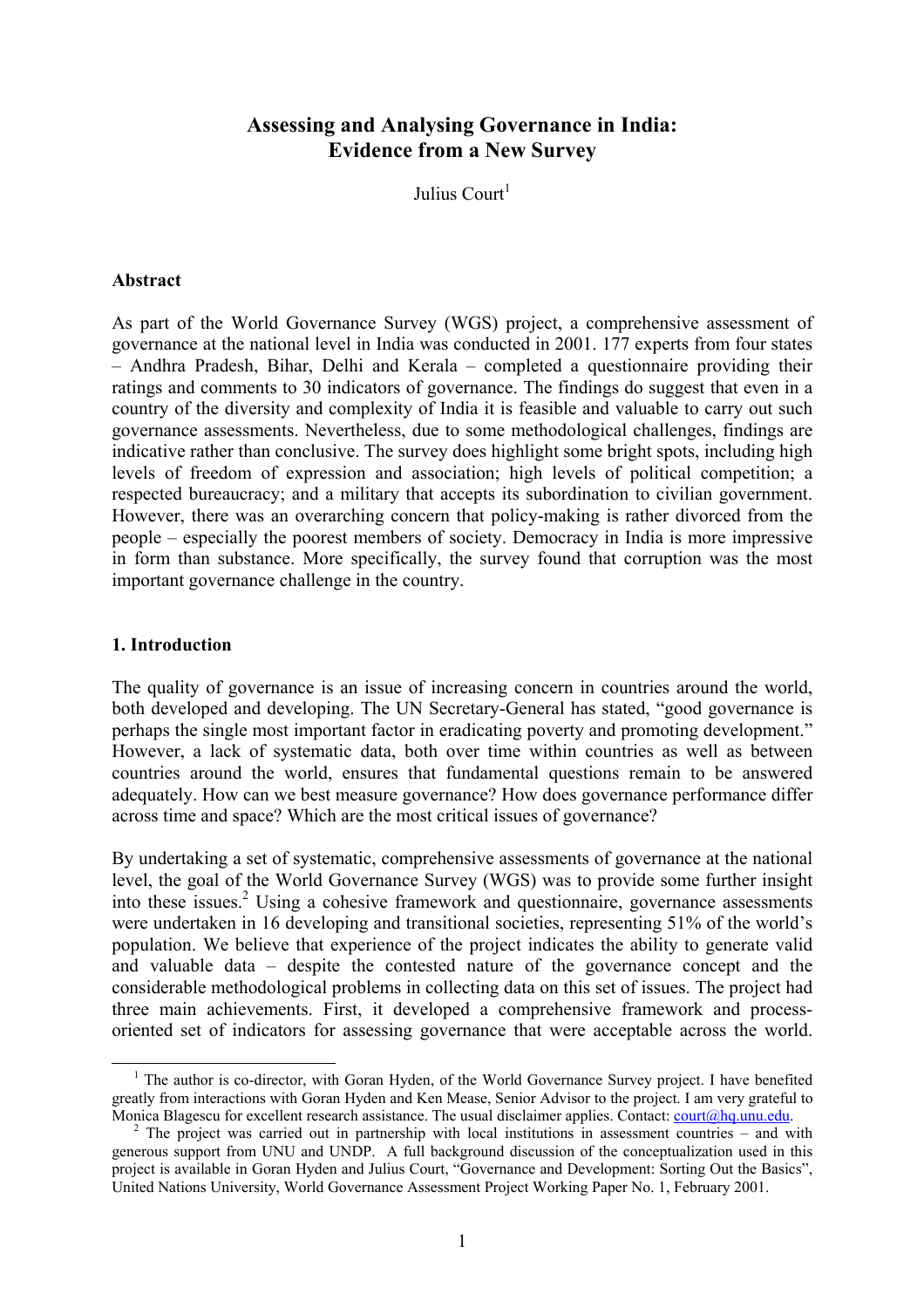# **Assessing and Analysing Governance in India: Evidence from a New Survey**

Julius Court<sup>[1](#page-0-0)</sup>

## **Abstract**

As part of the World Governance Survey (WGS) project, a comprehensive assessment of governance at the national level in India was conducted in 2001. 177 experts from four states – Andhra Pradesh, Bihar, Delhi and Kerala – completed a questionnaire providing their ratings and comments to 30 indicators of governance. The findings do suggest that even in a country of the diversity and complexity of India it is feasible and valuable to carry out such governance assessments. Nevertheless, due to some methodological challenges, findings are indicative rather than conclusive. The survey does highlight some bright spots, including high levels of freedom of expression and association; high levels of political competition; a respected bureaucracy; and a military that accepts its subordination to civilian government. However, there was an overarching concern that policy-making is rather divorced from the people – especially the poorest members of society. Democracy in India is more impressive in form than substance. More specifically, the survey found that corruption was the most important governance challenge in the country.

## **1. Introduction**

The quality of governance is an issue of increasing concern in countries around the world, both developed and developing. The UN Secretary-General has stated, "good governance is perhaps the single most important factor in eradicating poverty and promoting development." However, a lack of systematic data, both over time within countries as well as between countries around the world, ensures that fundamental questions remain to be answered adequately. How can we best measure governance? How does governance performance differ across time and space? Which are the most critical issues of governance?

By undertaking a set of systematic, comprehensive assessments of governance at the national level, the goal of the World Governance Survey (WGS) was to provide some further insight into these issues.<sup>2</sup> Using a cohesive framework and questionnaire, governance assessments were undertaken in 16 developing and transitional societies, representing 51% of the world's population. We believe that experience of the project indicates the ability to generate valid and valuable data – despite the contested nature of the governance concept and the considerable methodological problems in collecting data on this set of issues. The project had three main achievements. First, it developed a comprehensive framework and processoriented set of indicators for assessing governance that were acceptable across the world.

<span id="page-0-0"></span><sup>&</sup>lt;sup>1</sup> The author is co-director, with Goran Hyden, of the World Governance Survey project. I have benefited greatly from interactions with Goran Hyden and Ken Mease, Senior Advisor to the project. I am very grateful to Monica Blagescu for excellent research assistance. The usual disclaimer applies. Contact: [court@hq.unu.edu.](mailto:court@hq.unu.edu)

<span id="page-0-1"></span><sup>&</sup>lt;sup>2</sup> The project was carried out in partnership with local institutions in assessment countries – and with generous support from UNU and UNDP. A full background discussion of the conceptualization used in this project is available in Goran Hyden and Julius Court, "Governance and Development: Sorting Out the Basics", United Nations University, World Governance Assessment Project Working Paper No. 1, February 2001.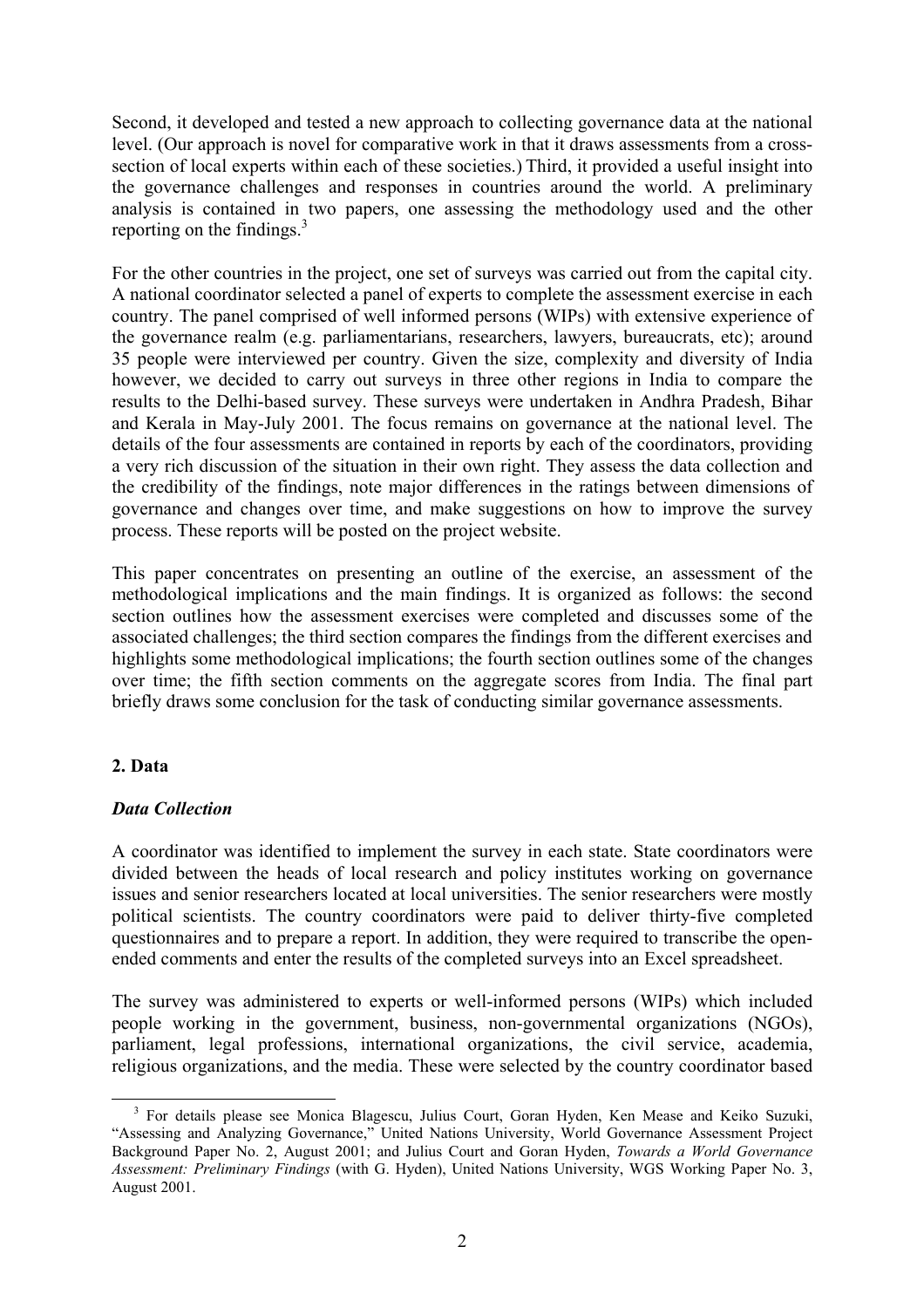Second, it developed and tested a new approach to collecting governance data at the national level. (Our approach is novel for comparative work in that it draws assessments from a crosssection of local experts within each of these societies.) Third, it provided a useful insight into the governance challenges and responses in countries around the world. A preliminary analysis is contained in two papers, one assessing the methodology used and the other reporting on the findings. $3$ 

For the other countries in the project, one set of surveys was carried out from the capital city. A national coordinator selected a panel of experts to complete the assessment exercise in each country. The panel comprised of well informed persons (WIPs) with extensive experience of the governance realm (e.g. parliamentarians, researchers, lawyers, bureaucrats, etc); around 35 people were interviewed per country. Given the size, complexity and diversity of India however, we decided to carry out surveys in three other regions in India to compare the results to the Delhi-based survey. These surveys were undertaken in Andhra Pradesh, Bihar and Kerala in May-July 2001. The focus remains on governance at the national level. The details of the four assessments are contained in reports by each of the coordinators, providing a very rich discussion of the situation in their own right. They assess the data collection and the credibility of the findings, note major differences in the ratings between dimensions of governance and changes over time, and make suggestions on how to improve the survey process. These reports will be posted on the project website.

This paper concentrates on presenting an outline of the exercise, an assessment of the methodological implications and the main findings. It is organized as follows: the second section outlines how the assessment exercises were completed and discusses some of the associated challenges; the third section compares the findings from the different exercises and highlights some methodological implications; the fourth section outlines some of the changes over time; the fifth section comments on the aggregate scores from India. The final part briefly draws some conclusion for the task of conducting similar governance assessments.

# **2. Data**

## *Data Collection*

A coordinator was identified to implement the survey in each state. State coordinators were divided between the heads of local research and policy institutes working on governance issues and senior researchers located at local universities. The senior researchers were mostly political scientists. The country coordinators were paid to deliver thirty-five completed questionnaires and to prepare a report. In addition, they were required to transcribe the openended comments and enter the results of the completed surveys into an Excel spreadsheet.

The survey was administered to experts or well-informed persons (WIPs) which included people working in the government, business, non-governmental organizations (NGOs), parliament, legal professions, international organizations, the civil service, academia, religious organizations, and the media. These were selected by the country coordinator based

<span id="page-1-0"></span><sup>&</sup>lt;sup>3</sup> For details please see Monica Blagescu, Julius Court, Goran Hyden, Ken Mease and Keiko Suzuki, "Assessing and Analyzing Governance," United Nations University, World Governance Assessment Project Background Paper No. 2, August 2001; and Julius Court and Goran Hyden, *Towards a World Governance Assessment: Preliminary Findings* (with G. Hyden), United Nations University, WGS Working Paper No. 3, August 2001.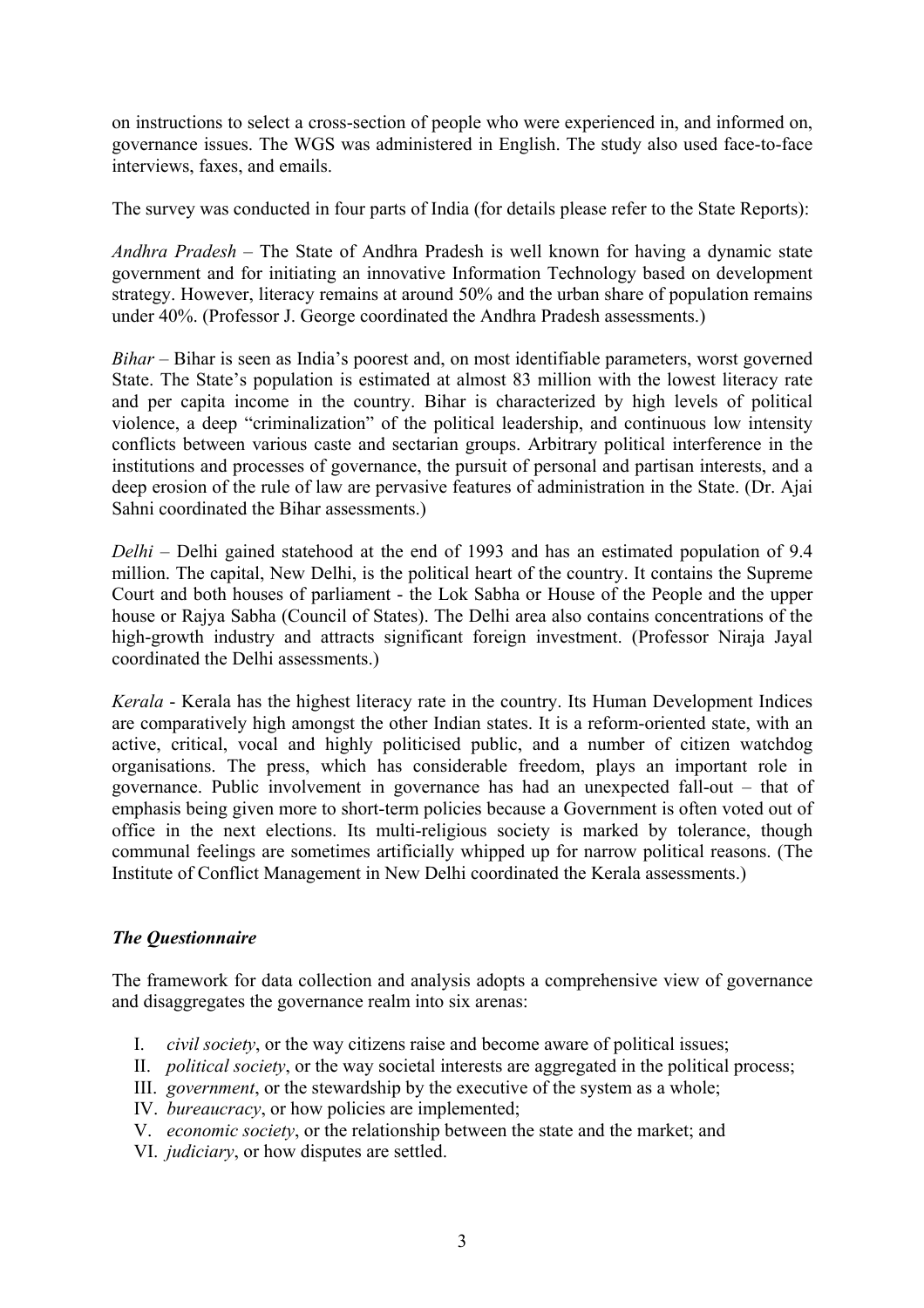on instructions to select a cross-section of people who were experienced in, and informed on, governance issues. The WGS was administered in English. The study also used face-to-face interviews, faxes, and emails.

The survey was conducted in four parts of India (for details please refer to the State Reports):

*Andhra Pradesh* – The State of Andhra Pradesh is well known for having a dynamic state government and for initiating an innovative Information Technology based on development strategy. However, literacy remains at around 50% and the urban share of population remains under 40%. (Professor J. George coordinated the Andhra Pradesh assessments.)

*Bihar* – Bihar is seen as India's poorest and, on most identifiable parameters, worst governed State. The State's population is estimated at almost 83 million with the lowest literacy rate and per capita income in the country. Bihar is characterized by high levels of political violence, a deep "criminalization" of the political leadership, and continuous low intensity conflicts between various caste and sectarian groups. Arbitrary political interference in the institutions and processes of governance, the pursuit of personal and partisan interests, and a deep erosion of the rule of law are pervasive features of administration in the State. (Dr. Ajai Sahni coordinated the Bihar assessments.)

*Delhi* – Delhi gained statehood at the end of 1993 and has an estimated population of 9.4 million. The capital, New Delhi, is the political heart of the country. It contains the Supreme Court and both houses of parliament - the Lok Sabha or House of the People and the upper house or Rajya Sabha (Council of States). The Delhi area also contains concentrations of the high-growth industry and attracts significant foreign investment. (Professor Niraja Jayal coordinated the Delhi assessments.)

*Kerala* - Kerala has the highest literacy rate in the country. Its Human Development Indices are comparatively high amongst the other Indian states. It is a reform-oriented state, with an active, critical, vocal and highly politicised public, and a number of citizen watchdog organisations. The press, which has considerable freedom, plays an important role in governance. Public involvement in governance has had an unexpected fall-out – that of emphasis being given more to short-term policies because a Government is often voted out of office in the next elections. Its multi-religious society is marked by tolerance, though communal feelings are sometimes artificially whipped up for narrow political reasons. (The Institute of Conflict Management in New Delhi coordinated the Kerala assessments.)

# *The Questionnaire*

The framework for data collection and analysis adopts a comprehensive view of governance and disaggregates the governance realm into six arenas:

- I. *civil society*, or the way citizens raise and become aware of political issues;
- II. *political society*, or the way societal interests are aggregated in the political process;
- III. *government*, or the stewardship by the executive of the system as a whole;
- IV. *bureaucracy*, or how policies are implemented;
- V. *economic society*, or the relationship between the state and the market; and
- VI. *judiciary*, or how disputes are settled.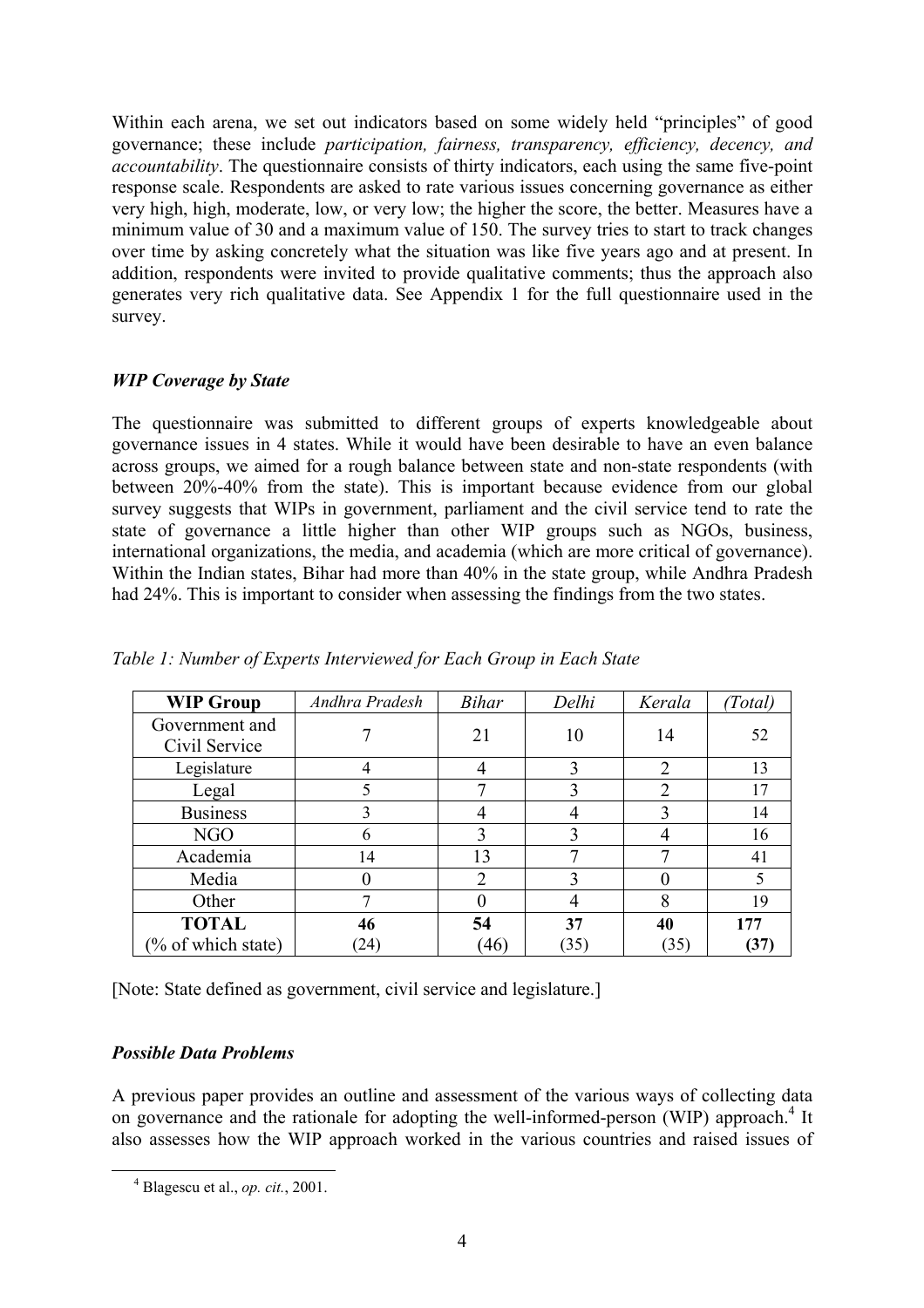Within each arena, we set out indicators based on some widely held "principles" of good governance; these include *participation, fairness, transparency, efficiency, decency, and accountability*. The questionnaire consists of thirty indicators, each using the same five-point response scale. Respondents are asked to rate various issues concerning governance as either very high, high, moderate, low, or very low; the higher the score, the better. Measures have a minimum value of 30 and a maximum value of 150. The survey tries to start to track changes over time by asking concretely what the situation was like five years ago and at present. In addition, respondents were invited to provide qualitative comments; thus the approach also generates very rich qualitative data. See Appendix 1 for the full questionnaire used in the survey.

# *WIP Coverage by State*

The questionnaire was submitted to different groups of experts knowledgeable about governance issues in 4 states. While it would have been desirable to have an even balance across groups, we aimed for a rough balance between state and non-state respondents (with between 20%-40% from the state). This is important because evidence from our global survey suggests that WIPs in government, parliament and the civil service tend to rate the state of governance a little higher than other WIP groups such as NGOs, business, international organizations, the media, and academia (which are more critical of governance). Within the Indian states, Bihar had more than 40% in the state group, while Andhra Pradesh had 24%. This is important to consider when assessing the findings from the two states.

| <b>WIP Group</b>                | Andhra Pradesh   | <b>Bihar</b>                | Delhi | Kerala         | (Total) |
|---------------------------------|------------------|-----------------------------|-------|----------------|---------|
| Government and<br>Civil Service |                  | 21                          | 10    | 14             | 52      |
| Legislature                     | 4                |                             | 3     | $\overline{2}$ | 13      |
| Legal                           | 5                |                             | 3     | $\overline{2}$ | 17      |
| <b>Business</b>                 | 3                |                             |       | 3              | 14      |
| NGO                             | 6                | 3                           | 3     |                | 16      |
| Academia                        | 14               | 13                          | 7     | ⇁              | 41      |
| Media                           | $\left( \right)$ | $\mathcal{D}_{\mathcal{L}}$ | 3     |                | 5       |
| Other                           | ┑                |                             | 4     | 8              | 19      |
| <b>TOTAL</b>                    | 46               | 54                          | 37    | 40             | 177     |
| (% of which state)              | (24)             | (46)                        | (35)  | (35)           | (37)    |

*Table 1: Number of Experts Interviewed for Each Group in Each State* 

[Note: State defined as government, civil service and legislature.]

# *Possible Data Problems*

A previous paper provides an outline and assessment of the various ways of collecting data on governance and the rationale for adopting the well-informed-person (WIP) approach.<sup>[4](#page-3-0)</sup> It also assesses how the WIP approach worked in the various countries and raised issues of

<span id="page-3-0"></span> <sup>4</sup> Blagescu et al., *op. cit.*, 2001.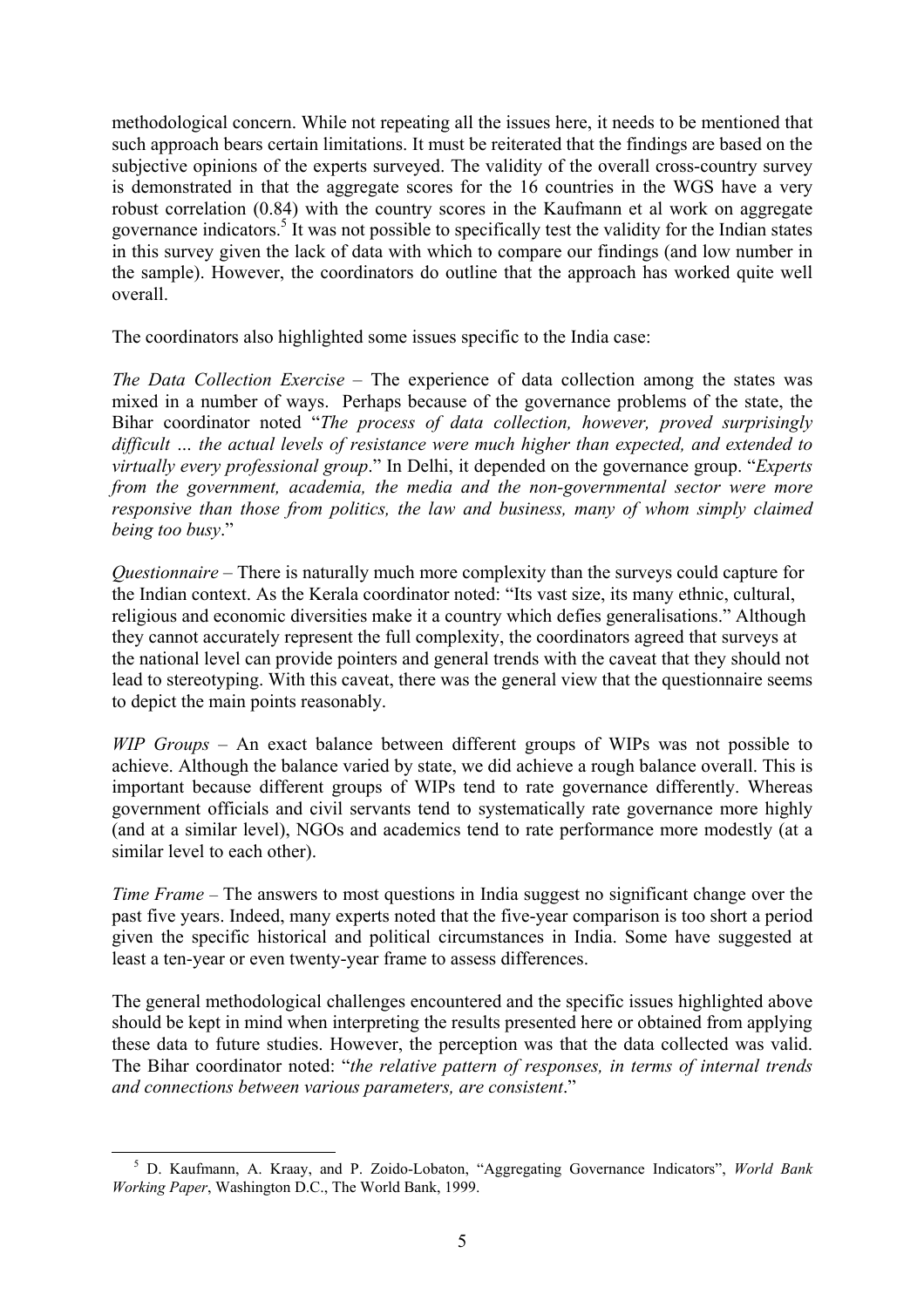methodological concern. While not repeating all the issues here, it needs to be mentioned that such approach bears certain limitations. It must be reiterated that the findings are based on the subjective opinions of the experts surveyed. The validity of the overall cross-country survey is demonstrated in that the aggregate scores for the 16 countries in the WGS have a very robust correlation (0.84) with the country scores in the Kaufmann et al work on aggregate governance indicators.<sup>[5](#page-4-0)</sup> It was not possible to specifically test the validity for the Indian states in this survey given the lack of data with which to compare our findings (and low number in the sample). However, the coordinators do outline that the approach has worked quite well overall.

The coordinators also highlighted some issues specific to the India case:

*The Data Collection Exercise* – The experience of data collection among the states was mixed in a number of ways. Perhaps because of the governance problems of the state, the Bihar coordinator noted "*The process of data collection, however, proved surprisingly difficult … the actual levels of resistance were much higher than expected, and extended to virtually every professional group*." In Delhi, it depended on the governance group. "*Experts from the government, academia, the media and the non-governmental sector were more responsive than those from politics, the law and business, many of whom simply claimed being too busy*."

*Questionnaire* – There is naturally much more complexity than the surveys could capture for the Indian context. As the Kerala coordinator noted: "Its vast size, its many ethnic, cultural, religious and economic diversities make it a country which defies generalisations." Although they cannot accurately represent the full complexity, the coordinators agreed that surveys at the national level can provide pointers and general trends with the caveat that they should not lead to stereotyping. With this caveat, there was the general view that the questionnaire seems to depict the main points reasonably.

*WIP Groups* – An exact balance between different groups of WIPs was not possible to achieve. Although the balance varied by state, we did achieve a rough balance overall. This is important because different groups of WIPs tend to rate governance differently. Whereas government officials and civil servants tend to systematically rate governance more highly (and at a similar level), NGOs and academics tend to rate performance more modestly (at a similar level to each other).

*Time Frame* – The answers to most questions in India suggest no significant change over the past five years. Indeed, many experts noted that the five-year comparison is too short a period given the specific historical and political circumstances in India. Some have suggested at least a ten-year or even twenty-year frame to assess differences.

The general methodological challenges encountered and the specific issues highlighted above should be kept in mind when interpreting the results presented here or obtained from applying these data to future studies. However, the perception was that the data collected was valid. The Bihar coordinator noted: "*the relative pattern of responses, in terms of internal trends and connections between various parameters, are consistent*."

<span id="page-4-0"></span> <sup>5</sup> D. Kaufmann, A. Kraay, and P. Zoido-Lobaton, "Aggregating Governance Indicators", *World Bank Working Paper*, Washington D.C., The World Bank, 1999.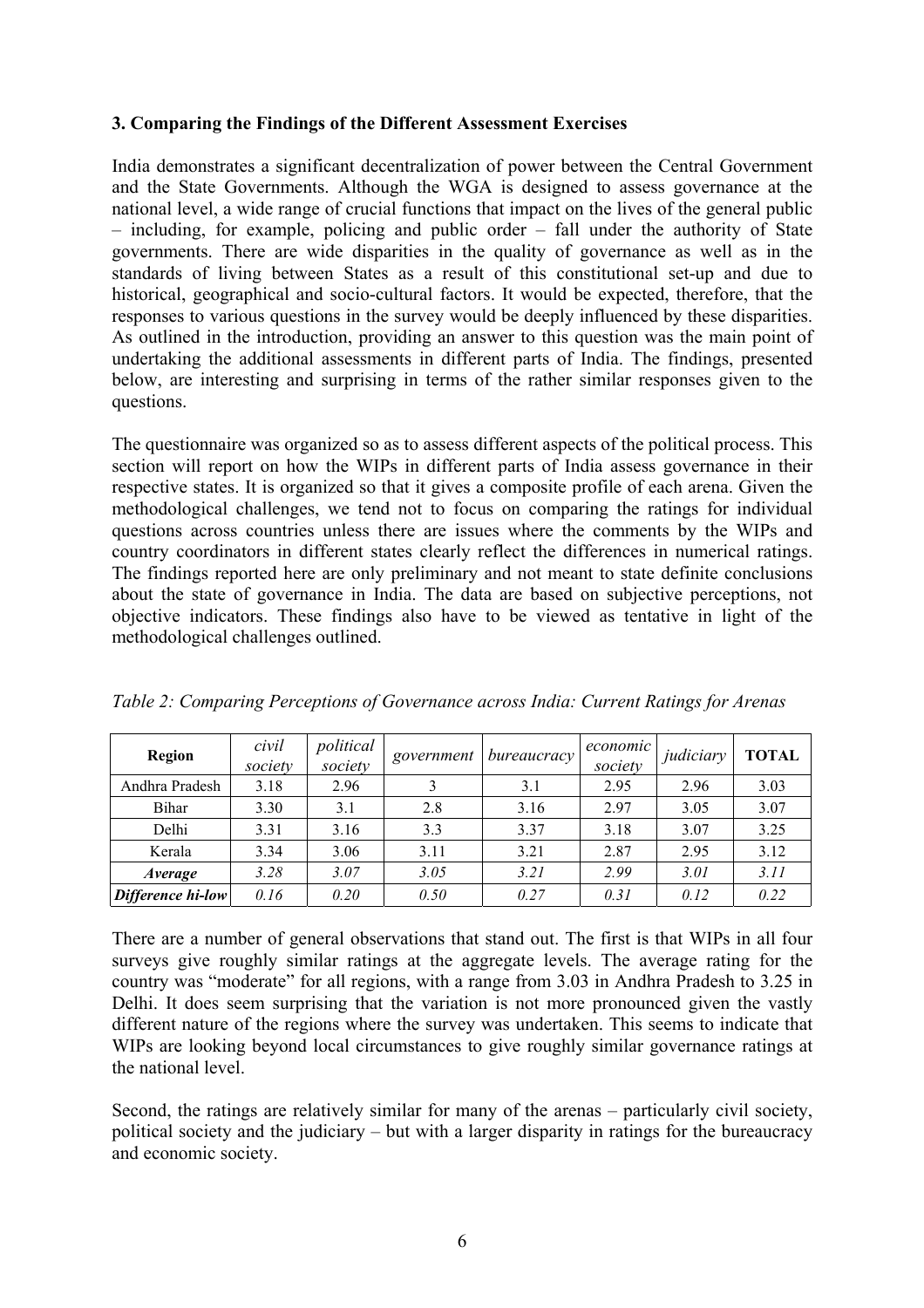## **3. Comparing the Findings of the Different Assessment Exercises**

India demonstrates a significant decentralization of power between the Central Government and the State Governments. Although the WGA is designed to assess governance at the national level, a wide range of crucial functions that impact on the lives of the general public – including, for example, policing and public order – fall under the authority of State governments. There are wide disparities in the quality of governance as well as in the standards of living between States as a result of this constitutional set-up and due to historical, geographical and socio-cultural factors. It would be expected, therefore, that the responses to various questions in the survey would be deeply influenced by these disparities. As outlined in the introduction, providing an answer to this question was the main point of undertaking the additional assessments in different parts of India. The findings, presented below, are interesting and surprising in terms of the rather similar responses given to the questions.

The questionnaire was organized so as to assess different aspects of the political process. This section will report on how the WIPs in different parts of India assess governance in their respective states. It is organized so that it gives a composite profile of each arena. Given the methodological challenges, we tend not to focus on comparing the ratings for individual questions across countries unless there are issues where the comments by the WIPs and country coordinators in different states clearly reflect the differences in numerical ratings. The findings reported here are only preliminary and not meant to state definite conclusions about the state of governance in India. The data are based on subjective perceptions, not objective indicators. These findings also have to be viewed as tentative in light of the methodological challenges outlined.

| <b>Region</b>     | civil<br>society | political<br>society | government | bureaucracy | economic<br>society | judiciary | <b>TOTAL</b> |
|-------------------|------------------|----------------------|------------|-------------|---------------------|-----------|--------------|
| Andhra Pradesh    | 3.18             | 2.96                 |            | 3.1         | 2.95                | 2.96      | 3.03         |
| Bihar             | 3.30             | 3.1                  | 2.8        | 3.16        | 2.97                | 3.05      | 3.07         |
| Delhi             | 3.31             | 3.16                 | 3.3        | 3.37        | 3.18                | 3.07      | 3.25         |
| Kerala            | 3.34             | 3.06                 | 3.11       | 3.21        | 2.87                | 2.95      | 3.12         |
| Average           | 3.28             | 3.07                 | 3.05       | 3.21        | 2.99                | 3.01      | 3.11         |
| Difference hi-low | 0.16             | 0.20                 | 0.50       | 0.27        | 0.31                | 0.12      | 0.22         |

*Table 2: Comparing Perceptions of Governance across India: Current Ratings for Arenas* 

There are a number of general observations that stand out. The first is that WIPs in all four surveys give roughly similar ratings at the aggregate levels. The average rating for the country was "moderate" for all regions, with a range from 3.03 in Andhra Pradesh to 3.25 in Delhi. It does seem surprising that the variation is not more pronounced given the vastly different nature of the regions where the survey was undertaken. This seems to indicate that WIPs are looking beyond local circumstances to give roughly similar governance ratings at the national level.

Second, the ratings are relatively similar for many of the arenas – particularly civil society, political society and the judiciary – but with a larger disparity in ratings for the bureaucracy and economic society.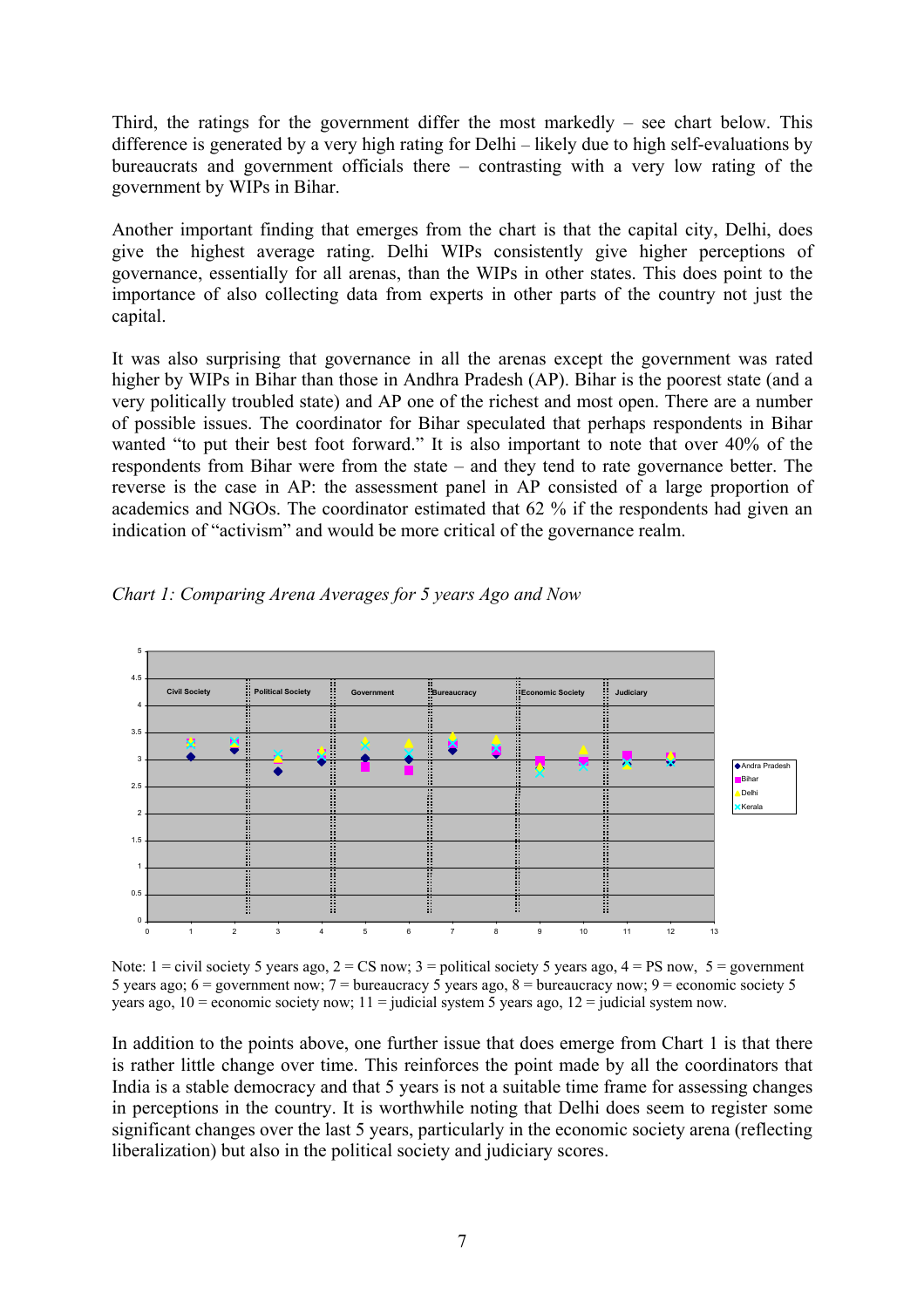Third, the ratings for the government differ the most markedly – see chart below. This difference is generated by a very high rating for Delhi – likely due to high self-evaluations by bureaucrats and government officials there – contrasting with a very low rating of the government by WIPs in Bihar.

Another important finding that emerges from the chart is that the capital city, Delhi, does give the highest average rating. Delhi WIPs consistently give higher perceptions of governance, essentially for all arenas, than the WIPs in other states. This does point to the importance of also collecting data from experts in other parts of the country not just the capital.

It was also surprising that governance in all the arenas except the government was rated higher by WIPs in Bihar than those in Andhra Pradesh (AP). Bihar is the poorest state (and a very politically troubled state) and AP one of the richest and most open. There are a number of possible issues. The coordinator for Bihar speculated that perhaps respondents in Bihar wanted "to put their best foot forward." It is also important to note that over 40% of the respondents from Bihar were from the state – and they tend to rate governance better. The reverse is the case in AP: the assessment panel in AP consisted of a large proportion of academics and NGOs. The coordinator estimated that 62 % if the respondents had given an indication of "activism" and would be more critical of the governance realm.



*Chart 1: Comparing Arena Averages for 5 years Ago and Now* 

Note:  $1 =$  civil society 5 years ago,  $2 =$  CS now;  $3 =$  political society 5 years ago,  $4 =$  PS now,  $5 =$  government 5 years ago;  $6 =$  government now;  $7 =$  bureaucracy 5 years ago,  $8 =$  bureaucracy now;  $9 =$  economic society 5 years ago,  $10 =$  economic society now;  $11 =$  judicial system 5 years ago,  $12 =$  judicial system now.

In addition to the points above, one further issue that does emerge from Chart 1 is that there is rather little change over time. This reinforces the point made by all the coordinators that India is a stable democracy and that 5 years is not a suitable time frame for assessing changes in perceptions in the country. It is worthwhile noting that Delhi does seem to register some significant changes over the last 5 years, particularly in the economic society arena (reflecting liberalization) but also in the political society and judiciary scores.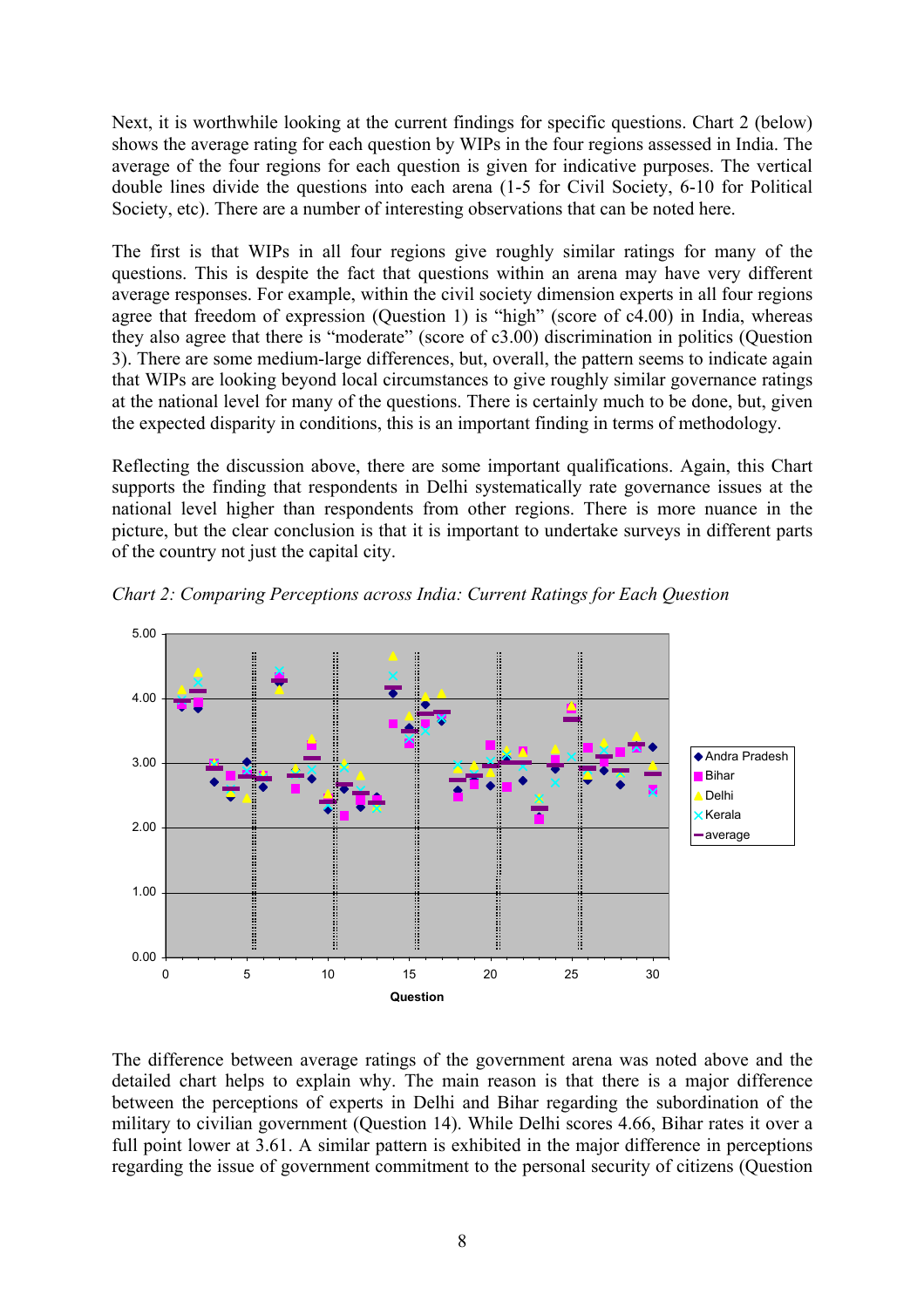Next, it is worthwhile looking at the current findings for specific questions. Chart 2 (below) shows the average rating for each question by WIPs in the four regions assessed in India. The average of the four regions for each question is given for indicative purposes. The vertical double lines divide the questions into each arena (1-5 for Civil Society, 6-10 for Political Society, etc). There are a number of interesting observations that can be noted here.

The first is that WIPs in all four regions give roughly similar ratings for many of the questions. This is despite the fact that questions within an arena may have very different average responses. For example, within the civil society dimension experts in all four regions agree that freedom of expression (Question 1) is "high" (score of c4.00) in India, whereas they also agree that there is "moderate" (score of c3.00) discrimination in politics (Question 3). There are some medium-large differences, but, overall, the pattern seems to indicate again that WIPs are looking beyond local circumstances to give roughly similar governance ratings at the national level for many of the questions. There is certainly much to be done, but, given the expected disparity in conditions, this is an important finding in terms of methodology.

Reflecting the discussion above, there are some important qualifications. Again, this Chart supports the finding that respondents in Delhi systematically rate governance issues at the national level higher than respondents from other regions. There is more nuance in the picture, but the clear conclusion is that it is important to undertake surveys in different parts of the country not just the capital city.



*Chart 2: Comparing Perceptions across India: Current Ratings for Each Question* 

The difference between average ratings of the government arena was noted above and the detailed chart helps to explain why. The main reason is that there is a major difference between the perceptions of experts in Delhi and Bihar regarding the subordination of the military to civilian government (Question 14). While Delhi scores 4.66, Bihar rates it over a full point lower at 3.61. A similar pattern is exhibited in the major difference in perceptions regarding the issue of government commitment to the personal security of citizens (Question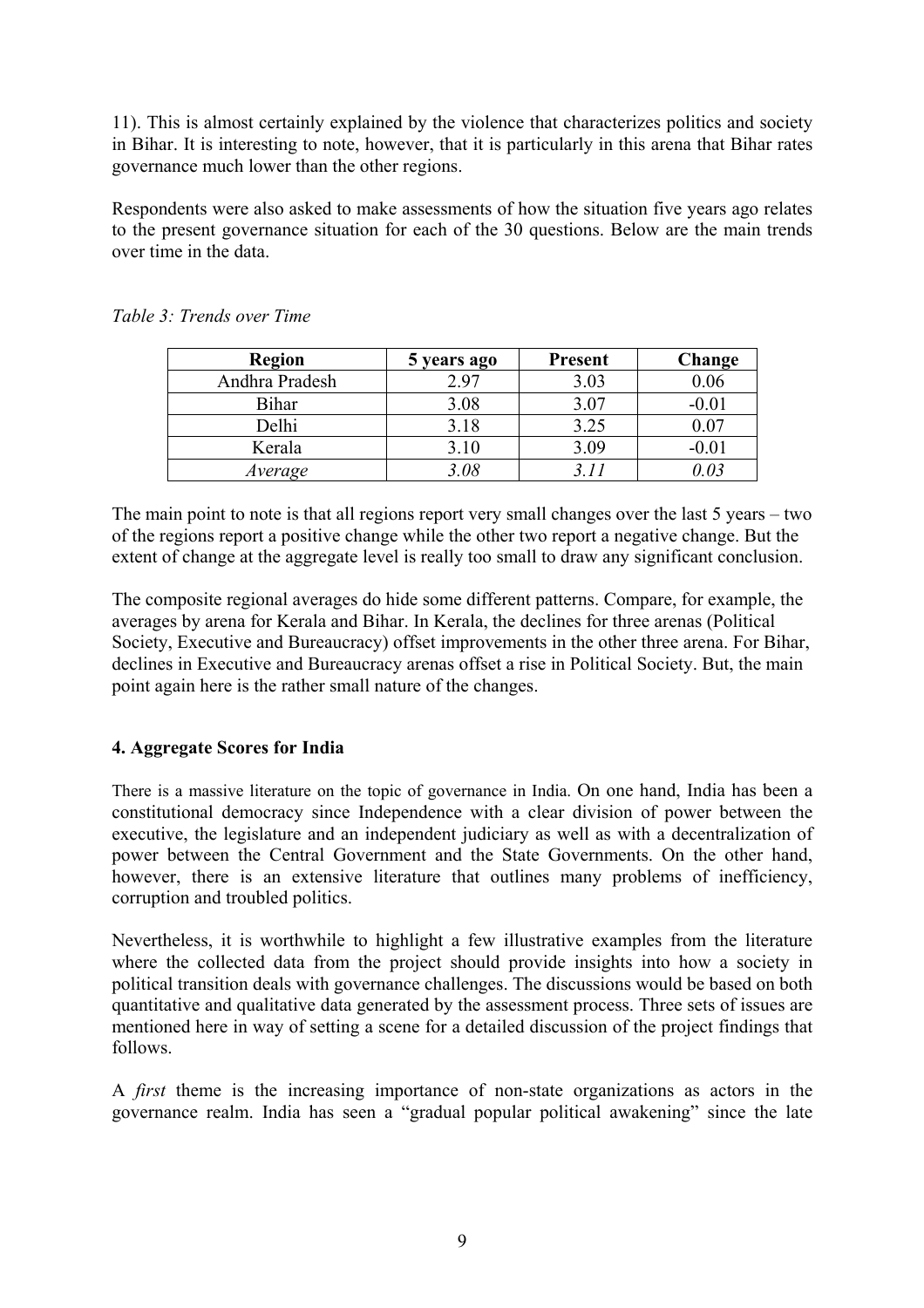11). This is almost certainly explained by the violence that characterizes politics and society in Bihar. It is interesting to note, however, that it is particularly in this arena that Bihar rates governance much lower than the other regions.

Respondents were also asked to make assessments of how the situation five years ago relates to the present governance situation for each of the 30 questions. Below are the main trends over time in the data.

| <b>Region</b>  | 5 years ago | <b>Present</b> | Change   |
|----------------|-------------|----------------|----------|
| Andhra Pradesh | 2.97        | 3.03           | $0.06\,$ |
| Bihar          | 3.08        | 3.07           | $-0.01$  |
| Delhi          | 3.18        | 3.25           | 0.07     |
| Kerala         | 3.10        | 3.09           | $-0.01$  |
| Average        | 3.08        |                | I N 3    |

*Table 3: Trends over Time* 

The main point to note is that all regions report very small changes over the last 5 years – two of the regions report a positive change while the other two report a negative change. But the extent of change at the aggregate level is really too small to draw any significant conclusion.

The composite regional averages do hide some different patterns. Compare, for example, the averages by arena for Kerala and Bihar. In Kerala, the declines for three arenas (Political Society, Executive and Bureaucracy) offset improvements in the other three arena. For Bihar, declines in Executive and Bureaucracy arenas offset a rise in Political Society. But, the main point again here is the rather small nature of the changes.

# **4. Aggregate Scores for India**

There is a massive literature on the topic of governance in India. On one hand, India has been a constitutional democracy since Independence with a clear division of power between the executive, the legislature and an independent judiciary as well as with a decentralization of power between the Central Government and the State Governments. On the other hand, however, there is an extensive literature that outlines many problems of inefficiency, corruption and troubled politics.

Nevertheless, it is worthwhile to highlight a few illustrative examples from the literature where the collected data from the project should provide insights into how a society in political transition deals with governance challenges. The discussions would be based on both quantitative and qualitative data generated by the assessment process. Three sets of issues are mentioned here in way of setting a scene for a detailed discussion of the project findings that follows.

A *first* theme is the increasing importance of non-state organizations as actors in the governance realm. India has seen a "gradual popular political awakening" since the late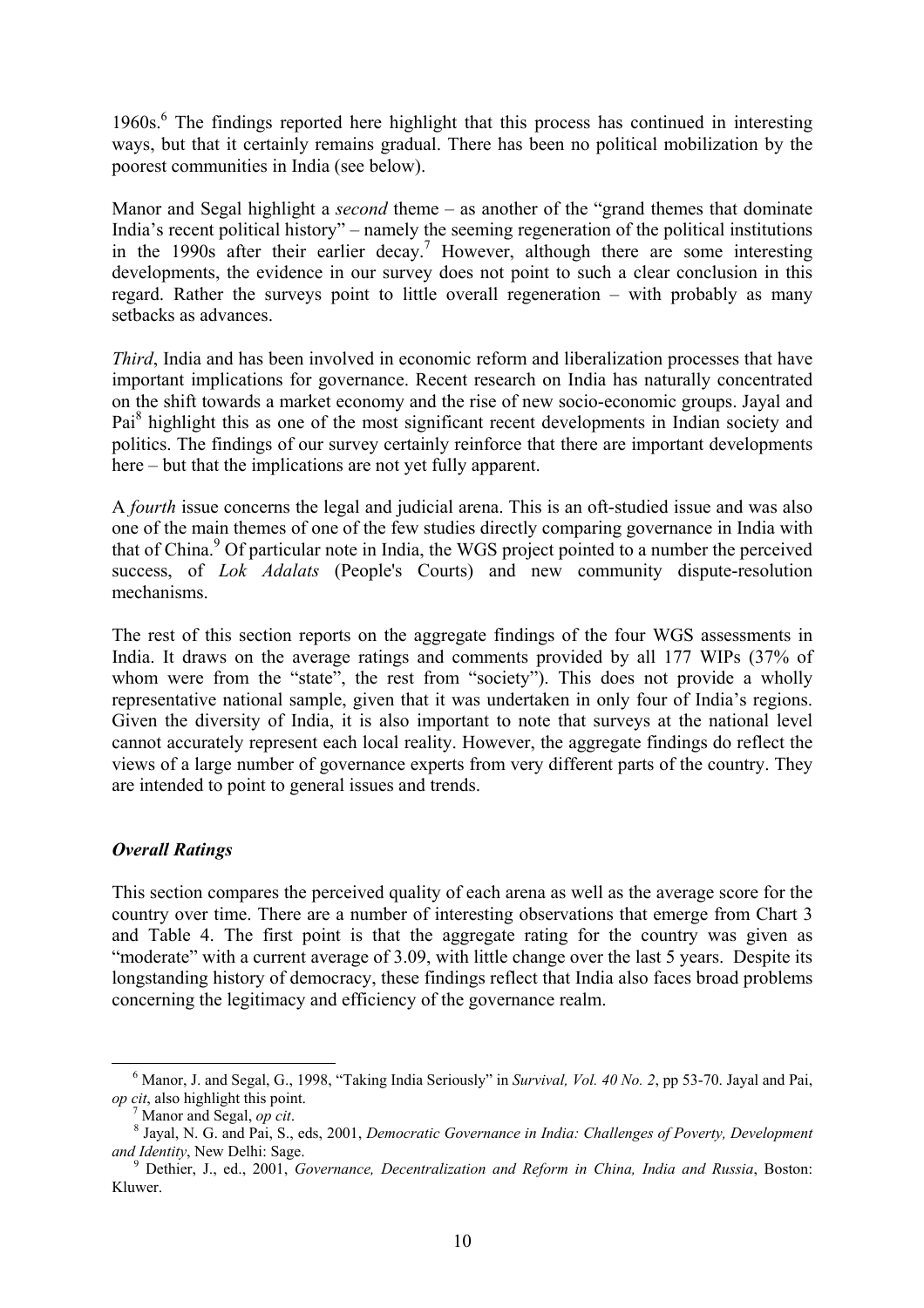19[6](#page-9-0)0s.<sup>6</sup> The findings reported here highlight that this process has continued in interesting ways, but that it certainly remains gradual. There has been no political mobilization by the poorest communities in India (see below).

Manor and Segal highlight a *second* theme – as another of the "grand themes that dominate India's recent political history" – namely the seeming regeneration of the political institutions in the  $1990s$  after their earlier decay.<sup>7</sup> However, although there are some interesting developments, the evidence in our survey does not point to such a clear conclusion in this regard. Rather the surveys point to little overall regeneration – with probably as many setbacks as advances.

*Third*, India and has been involved in economic reform and liberalization processes that have important implications for governance. Recent research on India has naturally concentrated on the shift towards a market economy and the rise of new socio-economic groups. Jayal and Pai<sup>[8](#page-9-2)</sup> highlight this as one of the most significant recent developments in Indian society and politics. The findings of our survey certainly reinforce that there are important developments here – but that the implications are not yet fully apparent.

A *fourth* issue concerns the legal and judicial arena. This is an oft-studied issue and was also one of the main themes of one of the few studies directly comparing governance in India with that of China.<sup>[9](#page-9-3)</sup> Of particular note in India, the WGS project pointed to a number the perceived success, of *Lok Adalats* (People's Courts) and new community dispute-resolution mechanisms.

The rest of this section reports on the aggregate findings of the four WGS assessments in India. It draws on the average ratings and comments provided by all 177 WIPs (37% of whom were from the "state", the rest from "society"). This does not provide a wholly representative national sample, given that it was undertaken in only four of India's regions. Given the diversity of India, it is also important to note that surveys at the national level cannot accurately represent each local reality. However, the aggregate findings do reflect the views of a large number of governance experts from very different parts of the country. They are intended to point to general issues and trends.

# *Overall Ratings*

This section compares the perceived quality of each arena as well as the average score for the country over time. There are a number of interesting observations that emerge from Chart 3 and Table 4. The first point is that the aggregate rating for the country was given as "moderate" with a current average of 3.09, with little change over the last 5 years. Despite its longstanding history of democracy, these findings reflect that India also faces broad problems concerning the legitimacy and efficiency of the governance realm.

<span id="page-9-0"></span> $\overline{6}$ <sup>6</sup> Manor, J. and Segal, G., 1998, "Taking India Seriously" in *Survival, Vol. 40 No. 2*, pp 53-70. Jayal and Pai, *op cit*, also highlight this point.<br><sup>7</sup> Manor and Segal, *op cit*.

<span id="page-9-2"></span><span id="page-9-1"></span>

<sup>&</sup>lt;sup>7</sup> Manor and Segal, *op cit.*<br><sup>8</sup> Jayal, N. G. and Pai, S., eds, 2001, *Democratic Governance in India: Challenges of Poverty, Development and Identity*, New Delhi: Sage.

<span id="page-9-3"></span>Dethier, J., ed., 2001, *Governance, Decentralization and Reform in China, India and Russia*, Boston: Kluwer.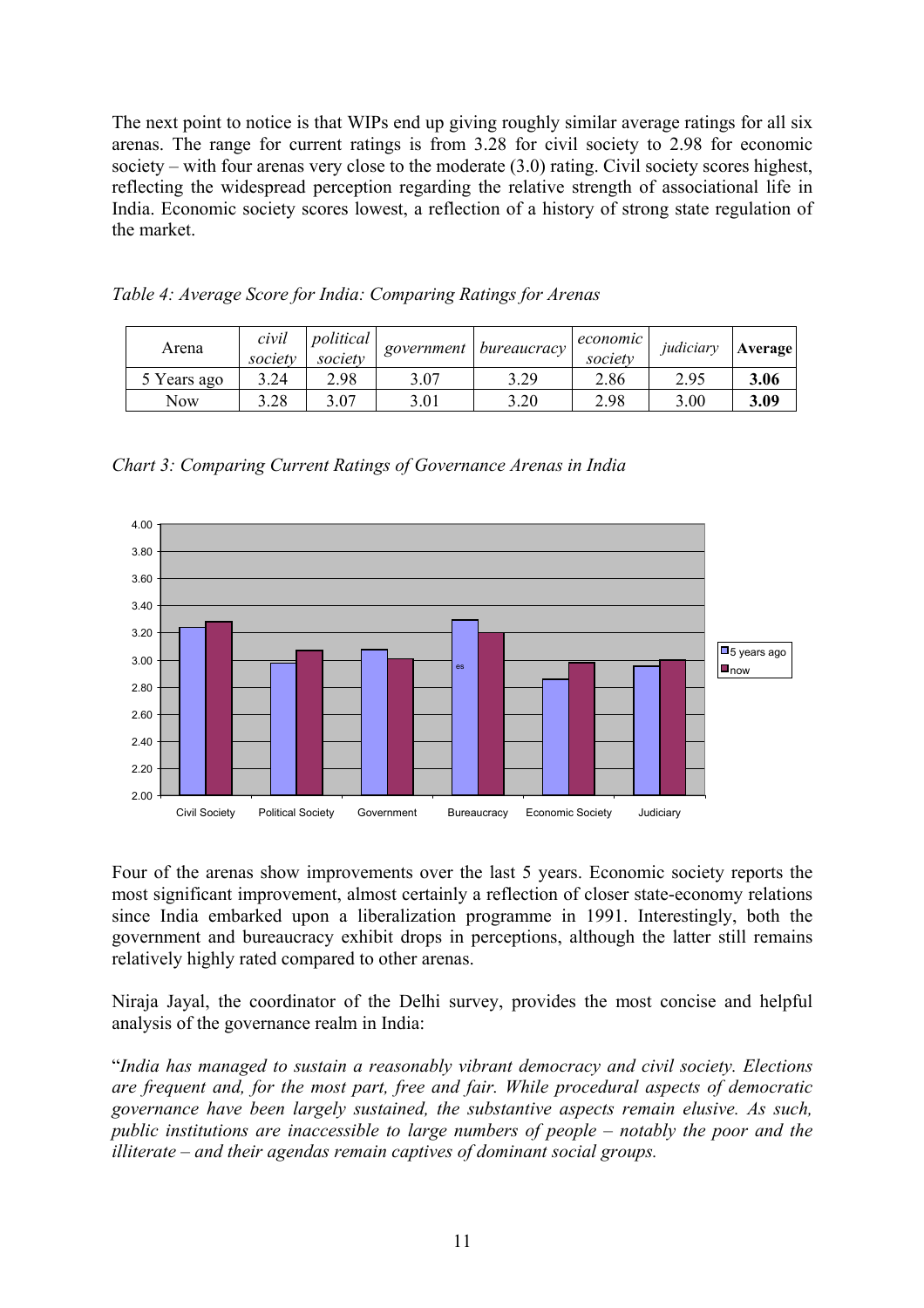The next point to notice is that WIPs end up giving roughly similar average ratings for all six arenas. The range for current ratings is from 3.28 for civil society to 2.98 for economic society – with four arenas very close to the moderate (3.0) rating. Civil society scores highest, reflecting the widespread perception regarding the relative strength of associational life in India. Economic society scores lowest, a reflection of a history of strong state regulation of the market.

| Arena       | civil<br>society | political<br>society | government | <i>bureaucracy</i> | economic<br>society | judiciarv | Average |
|-------------|------------------|----------------------|------------|--------------------|---------------------|-----------|---------|
| 5 Years ago | 3.24             | 2.98                 | 3.07       | 3.29               | 2.86                | 2.95      | 3.06    |
| Now         | 3.28             | 3.07                 | 3.01       | 3.20               | 2.98                | 3.00      | 3.09    |

*Table 4: Average Score for India: Comparing Ratings for Arenas* 

*Chart 3: Comparing Current Ratings of Governance Arenas in India* 



Four of the arenas show improvements over the last 5 years. Economic society reports the most significant improvement, almost certainly a reflection of closer state-economy relations since India embarked upon a liberalization programme in 1991. Interestingly, both the government and bureaucracy exhibit drops in perceptions, although the latter still remains relatively highly rated compared to other arenas.

Niraja Jayal, the coordinator of the Delhi survey, provides the most concise and helpful analysis of the governance realm in India:

"*India has managed to sustain a reasonably vibrant democracy and civil society. Elections are frequent and, for the most part, free and fair. While procedural aspects of democratic governance have been largely sustained, the substantive aspects remain elusive. As such, public institutions are inaccessible to large numbers of people – notably the poor and the illiterate – and their agendas remain captives of dominant social groups.*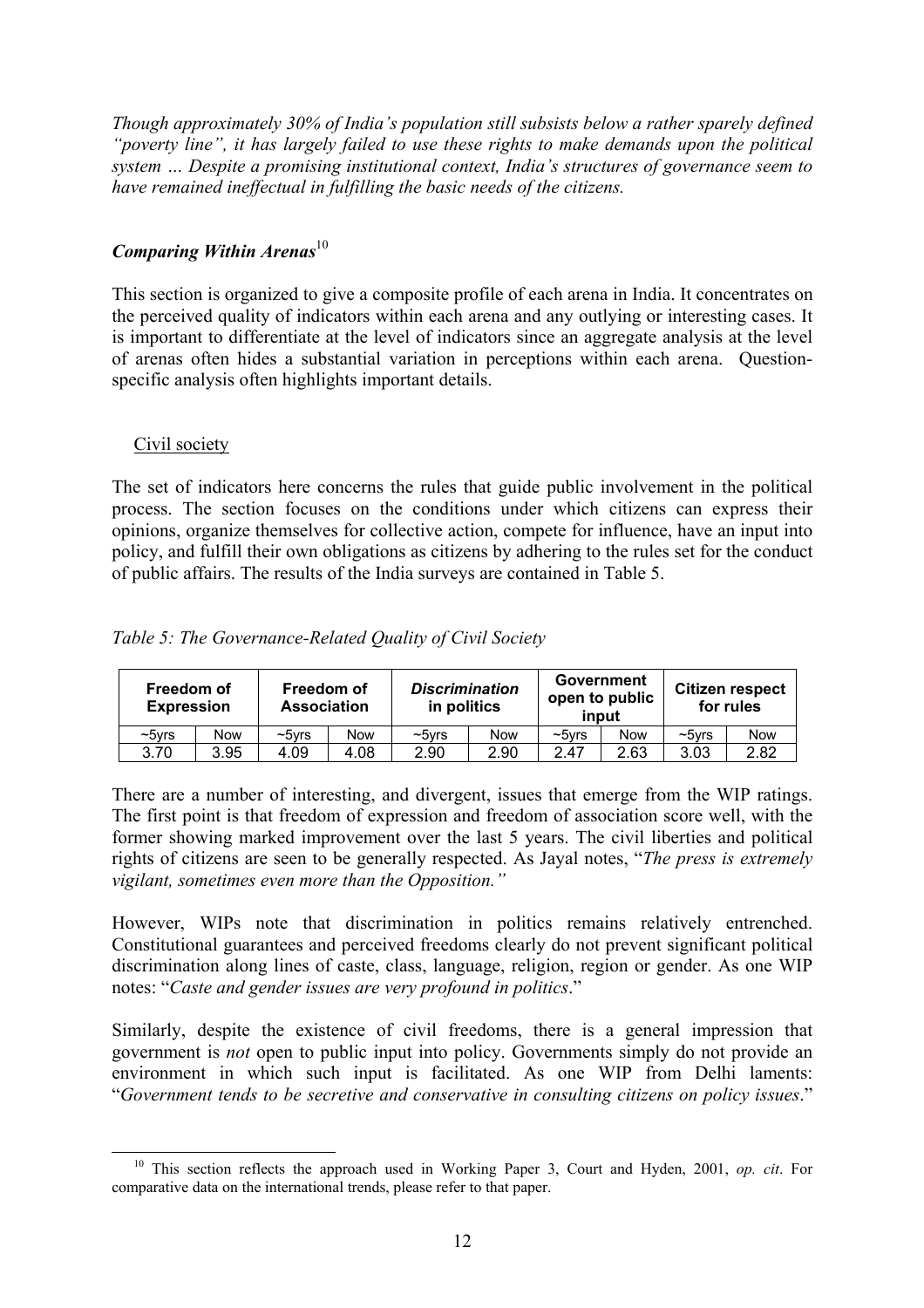*Though approximately 30% of India's population still subsists below a rather sparely defined "poverty line", it has largely failed to use these rights to make demands upon the political system … Despite a promising institutional context, India's structures of governance seem to have remained ineffectual in fulfilling the basic needs of the citizens.* 

# *Comparing Within Arenas*<sup>[10](#page-11-0)</sup>

This section is organized to give a composite profile of each arena in India. It concentrates on the perceived quality of indicators within each arena and any outlying or interesting cases. It is important to differentiate at the level of indicators since an aggregate analysis at the level of arenas often hides a substantial variation in perceptions within each arena. Questionspecific analysis often highlights important details.

## Civil society

The set of indicators here concerns the rules that guide public involvement in the political process. The section focuses on the conditions under which citizens can express their opinions, organize themselves for collective action, compete for influence, have an input into policy, and fulfill their own obligations as citizens by adhering to the rules set for the conduct of public affairs. The results of the India surveys are contained in Table 5.

|  | Table 5: The Governance-Related Quality of Civil Society |  |  |
|--|----------------------------------------------------------|--|--|
|--|----------------------------------------------------------|--|--|

| Freedom of<br><b>Expression</b> |            | Freedom of<br><b>Association</b> |            | <b>Discrimination</b><br>in politics |            | Government   | open to public<br>input |          | <b>Citizen respect</b><br>for rules |
|---------------------------------|------------|----------------------------------|------------|--------------------------------------|------------|--------------|-------------------------|----------|-------------------------------------|
| $~5$ vrs                        | <b>Now</b> | $\sim$ 5 $\nu$ rs                | <b>Now</b> | $\sim$ 5 $v$ rs                      | <b>Now</b> | $\sim$ 5 vrs | <b>Now</b>              | $~5$ vrs | <b>Now</b>                          |
| 3.70                            | 3.95       | 4.09                             | 4.08       | 2.90                                 | 2.90       | 2.47         | 2.63                    | 3.03     | 2.82                                |

There are a number of interesting, and divergent, issues that emerge from the WIP ratings. The first point is that freedom of expression and freedom of association score well, with the former showing marked improvement over the last 5 years. The civil liberties and political rights of citizens are seen to be generally respected. As Jayal notes, "*The press is extremely vigilant, sometimes even more than the Opposition."*

However, WIPs note that discrimination in politics remains relatively entrenched. Constitutional guarantees and perceived freedoms clearly do not prevent significant political discrimination along lines of caste, class, language, religion, region or gender. As one WIP notes: "*Caste and gender issues are very profound in politics*."

Similarly, despite the existence of civil freedoms, there is a general impression that government is *not* open to public input into policy. Governments simply do not provide an environment in which such input is facilitated. As one WIP from Delhi laments: "*Government tends to be secretive and conservative in consulting citizens on policy issues*."

<span id="page-11-0"></span> <sup>10</sup> This section reflects the approach used in Working Paper 3, Court and Hyden, 2001, *op. cit*. For comparative data on the international trends, please refer to that paper.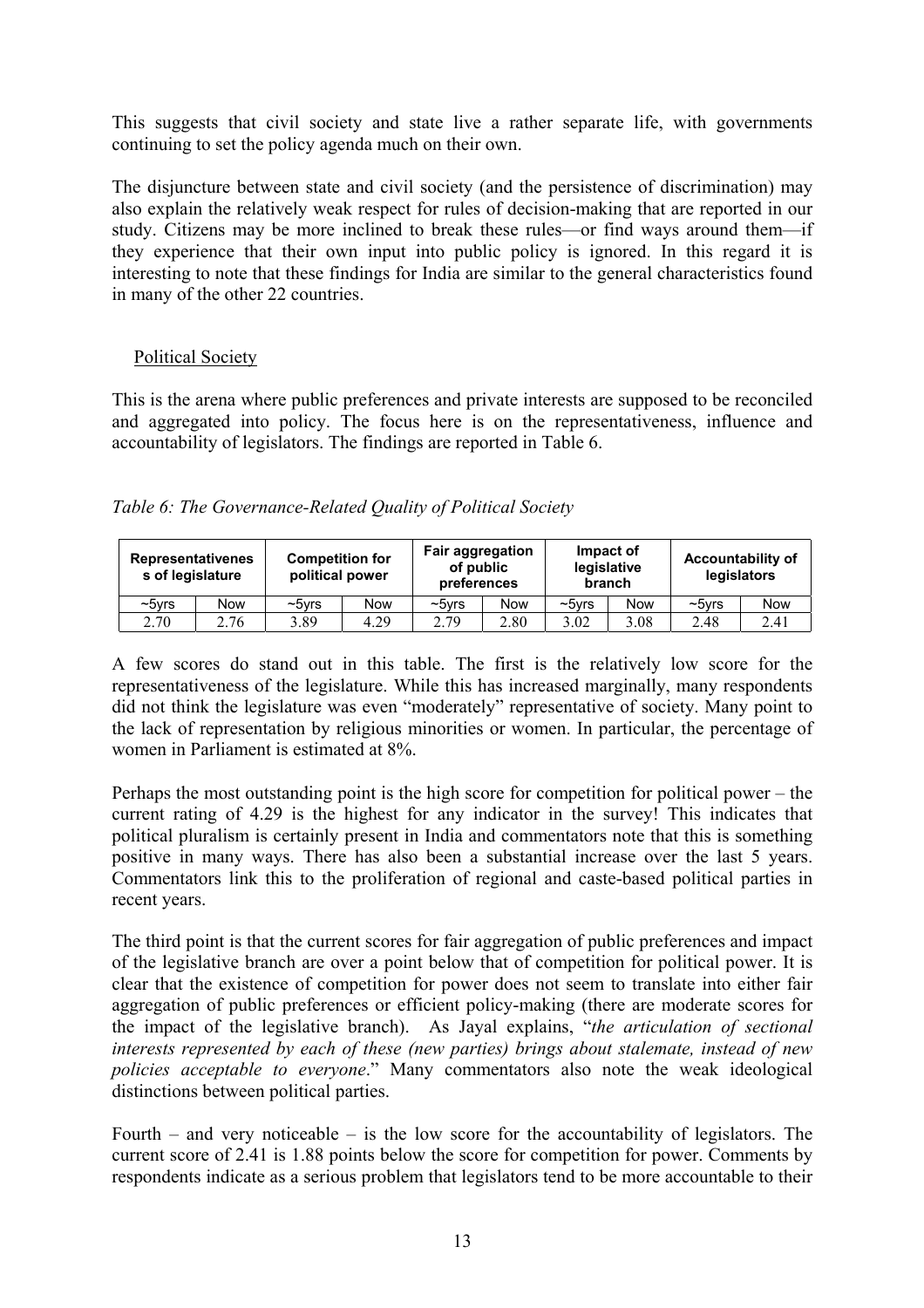This suggests that civil society and state live a rather separate life, with governments continuing to set the policy agenda much on their own.

The disjuncture between state and civil society (and the persistence of discrimination) may also explain the relatively weak respect for rules of decision-making that are reported in our study. Citizens may be more inclined to break these rules—or find ways around them—if they experience that their own input into public policy is ignored. In this regard it is interesting to note that these findings for India are similar to the general characteristics found in many of the other 22 countries.

## Political Society

This is the arena where public preferences and private interests are supposed to be reconciled and aggregated into policy. The focus here is on the representativeness, influence and accountability of legislators. The findings are reported in Table 6.

| Table 6: The Governance-Related Quality of Political Society |  |  |
|--------------------------------------------------------------|--|--|
|                                                              |  |  |

| <b>Representativenes</b><br>s of legislature |            | <b>Competition for</b><br>political power |            | <b>Fair aggregation</b><br>of public<br>preferences |      |          | Impact of<br>legislative<br>branch | <b>Accountability of</b> | legislators |
|----------------------------------------------|------------|-------------------------------------------|------------|-----------------------------------------------------|------|----------|------------------------------------|--------------------------|-------------|
| $\sim$ 5 $V$ rs                              | <b>Now</b> | $\sim$ 5 $\nu$ rs                         | <b>Now</b> | $\sim$ 5 $V$ rs                                     | Now  | $~5$ vrs | Now                                | $~5$ vrs                 | <b>Now</b>  |
| 2.70                                         | 2.76       | 3.89                                      | 4.29       | 2.79                                                | 2.80 | 3.02     | 3.08                               | 2.48                     | 2.41        |

A few scores do stand out in this table. The first is the relatively low score for the representativeness of the legislature. While this has increased marginally, many respondents did not think the legislature was even "moderately" representative of society. Many point to the lack of representation by religious minorities or women. In particular, the percentage of women in Parliament is estimated at 8%.

Perhaps the most outstanding point is the high score for competition for political power – the current rating of 4.29 is the highest for any indicator in the survey! This indicates that political pluralism is certainly present in India and commentators note that this is something positive in many ways. There has also been a substantial increase over the last 5 years. Commentators link this to the proliferation of regional and caste-based political parties in recent years.

The third point is that the current scores for fair aggregation of public preferences and impact of the legislative branch are over a point below that of competition for political power. It is clear that the existence of competition for power does not seem to translate into either fair aggregation of public preferences or efficient policy-making (there are moderate scores for the impact of the legislative branch). As Jayal explains, "*the articulation of sectional interests represented by each of these (new parties) brings about stalemate, instead of new policies acceptable to everyone*." Many commentators also note the weak ideological distinctions between political parties.

Fourth – and very noticeable – is the low score for the accountability of legislators. The current score of 2.41 is 1.88 points below the score for competition for power. Comments by respondents indicate as a serious problem that legislators tend to be more accountable to their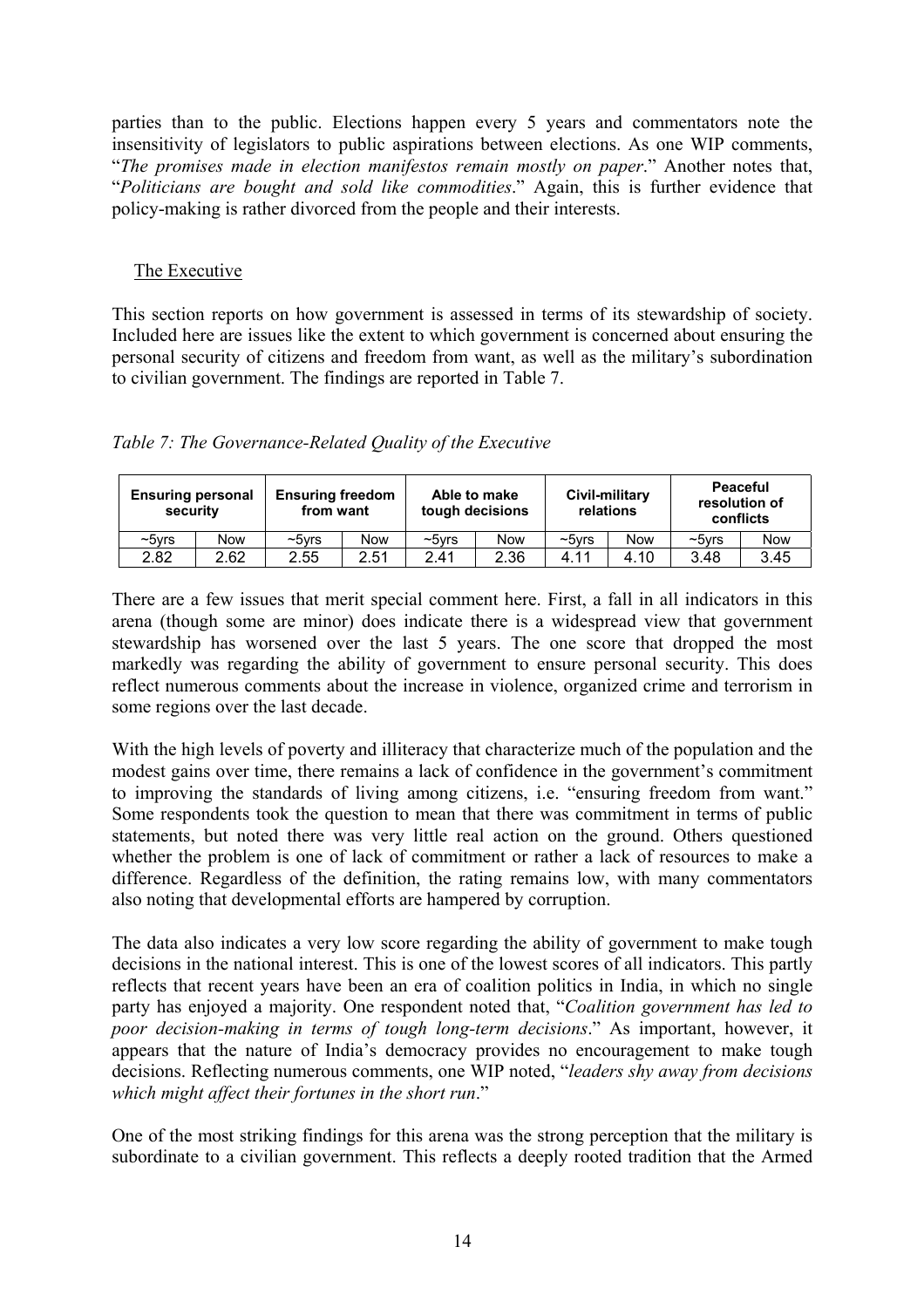parties than to the public. Elections happen every 5 years and commentators note the insensitivity of legislators to public aspirations between elections. As one WIP comments, "*The promises made in election manifestos remain mostly on paper*." Another notes that, "*Politicians are bought and sold like commodities*." Again, this is further evidence that policy-making is rather divorced from the people and their interests.

# The Executive

This section reports on how government is assessed in terms of its stewardship of society. Included here are issues like the extent to which government is concerned about ensuring the personal security of citizens and freedom from want, as well as the military's subordination to civilian government. The findings are reported in Table 7.

*Table 7: The Governance-Related Quality of the Executive* 

| <b>Ensuring personal</b><br>security |      | <b>Ensuring freedom</b><br>from want |      |                 | Able to make<br>tough decisions |                 | Civil-military<br>relations | <b>Peaceful</b><br>conflicts | resolution of |
|--------------------------------------|------|--------------------------------------|------|-----------------|---------------------------------|-----------------|-----------------------------|------------------------------|---------------|
| $\sim$ 5 $\nu$ rs                    | Now  | $~5$ vrs                             | Now  | $\sim$ 5 $V$ rs | <b>Now</b>                      | $\sim$ 5 $V$ rs | <b>Now</b>                  | $~5$ vrs                     | <b>Now</b>    |
| 2.82                                 | 2.62 | 2.55                                 | 2.51 | 2.41            | 2.36                            | 4.11            | 4.10                        | 3.48                         | 3.45          |

There are a few issues that merit special comment here. First, a fall in all indicators in this arena (though some are minor) does indicate there is a widespread view that government stewardship has worsened over the last 5 years. The one score that dropped the most markedly was regarding the ability of government to ensure personal security. This does reflect numerous comments about the increase in violence, organized crime and terrorism in some regions over the last decade.

With the high levels of poverty and illiteracy that characterize much of the population and the modest gains over time, there remains a lack of confidence in the government's commitment to improving the standards of living among citizens, i.e. "ensuring freedom from want." Some respondents took the question to mean that there was commitment in terms of public statements, but noted there was very little real action on the ground. Others questioned whether the problem is one of lack of commitment or rather a lack of resources to make a difference. Regardless of the definition, the rating remains low, with many commentators also noting that developmental efforts are hampered by corruption.

The data also indicates a very low score regarding the ability of government to make tough decisions in the national interest. This is one of the lowest scores of all indicators. This partly reflects that recent years have been an era of coalition politics in India, in which no single party has enjoyed a majority. One respondent noted that, "*Coalition government has led to poor decision-making in terms of tough long-term decisions*." As important, however, it appears that the nature of India's democracy provides no encouragement to make tough decisions. Reflecting numerous comments, one WIP noted, "*leaders shy away from decisions which might affect their fortunes in the short run*."

One of the most striking findings for this arena was the strong perception that the military is subordinate to a civilian government. This reflects a deeply rooted tradition that the Armed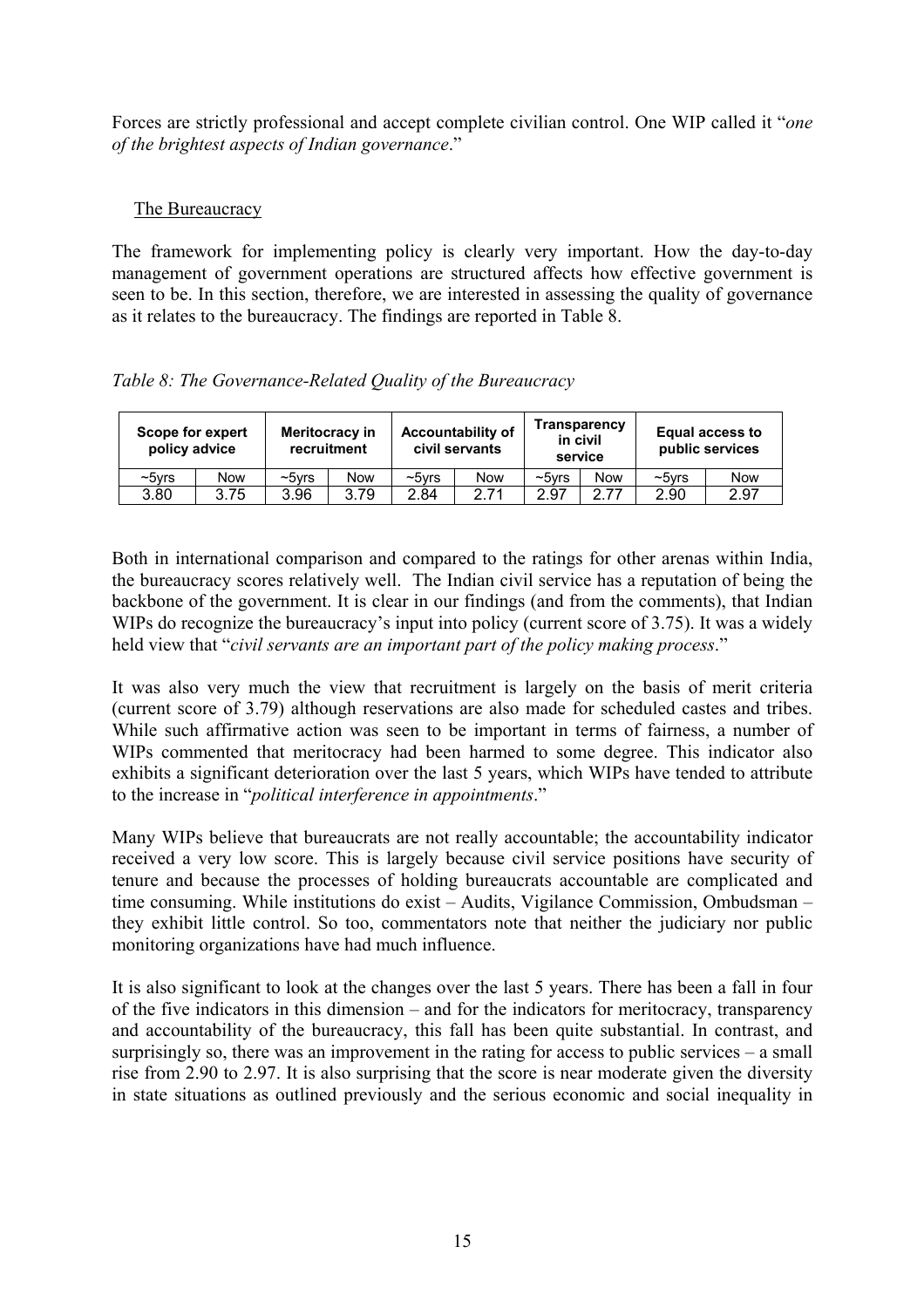Forces are strictly professional and accept complete civilian control. One WIP called it "*one of the brightest aspects of Indian governance*."

# The Bureaucracy

The framework for implementing policy is clearly very important. How the day-to-day management of government operations are structured affects how effective government is seen to be. In this section, therefore, we are interested in assessing the quality of governance as it relates to the bureaucracy. The findings are reported in Table 8.

*Table 8: The Governance-Related Quality of the Bureaucracy* 

| Scope for expert<br>policy advice |      | Meritocracy in<br>recruitment |            |                 | <b>Accountability of</b><br>civil servants | in civil     | Transparency<br>service |                 | <b>Equal access to</b><br>public services |
|-----------------------------------|------|-------------------------------|------------|-----------------|--------------------------------------------|--------------|-------------------------|-----------------|-------------------------------------------|
| $\sim$ 5 $\nu$ rs                 | Now  | $\sim$ 5 $v$ rs               | <b>Now</b> | $\sim$ 5 $V$ rs | Now                                        | $\sim$ 5 vrs | Now                     | $\sim$ 5 $v$ rs | <b>Now</b>                                |
| 3.80                              | 3.75 | 3.96                          | 3.79       | 2.84            | 2.71                                       | 2.97         | 2.77                    | 2.90            | 2.97                                      |

Both in international comparison and compared to the ratings for other arenas within India, the bureaucracy scores relatively well. The Indian civil service has a reputation of being the backbone of the government. It is clear in our findings (and from the comments), that Indian WIPs do recognize the bureaucracy's input into policy (current score of 3.75). It was a widely held view that "*civil servants are an important part of the policy making process*."

It was also very much the view that recruitment is largely on the basis of merit criteria (current score of 3.79) although reservations are also made for scheduled castes and tribes. While such affirmative action was seen to be important in terms of fairness, a number of WIPs commented that meritocracy had been harmed to some degree. This indicator also exhibits a significant deterioration over the last 5 years, which WIPs have tended to attribute to the increase in "*political interference in appointments*."

Many WIPs believe that bureaucrats are not really accountable; the accountability indicator received a very low score. This is largely because civil service positions have security of tenure and because the processes of holding bureaucrats accountable are complicated and time consuming. While institutions do exist – Audits, Vigilance Commission, Ombudsman – they exhibit little control. So too, commentators note that neither the judiciary nor public monitoring organizations have had much influence.

It is also significant to look at the changes over the last 5 years. There has been a fall in four of the five indicators in this dimension – and for the indicators for meritocracy, transparency and accountability of the bureaucracy, this fall has been quite substantial. In contrast, and surprisingly so, there was an improvement in the rating for access to public services – a small rise from 2.90 to 2.97. It is also surprising that the score is near moderate given the diversity in state situations as outlined previously and the serious economic and social inequality in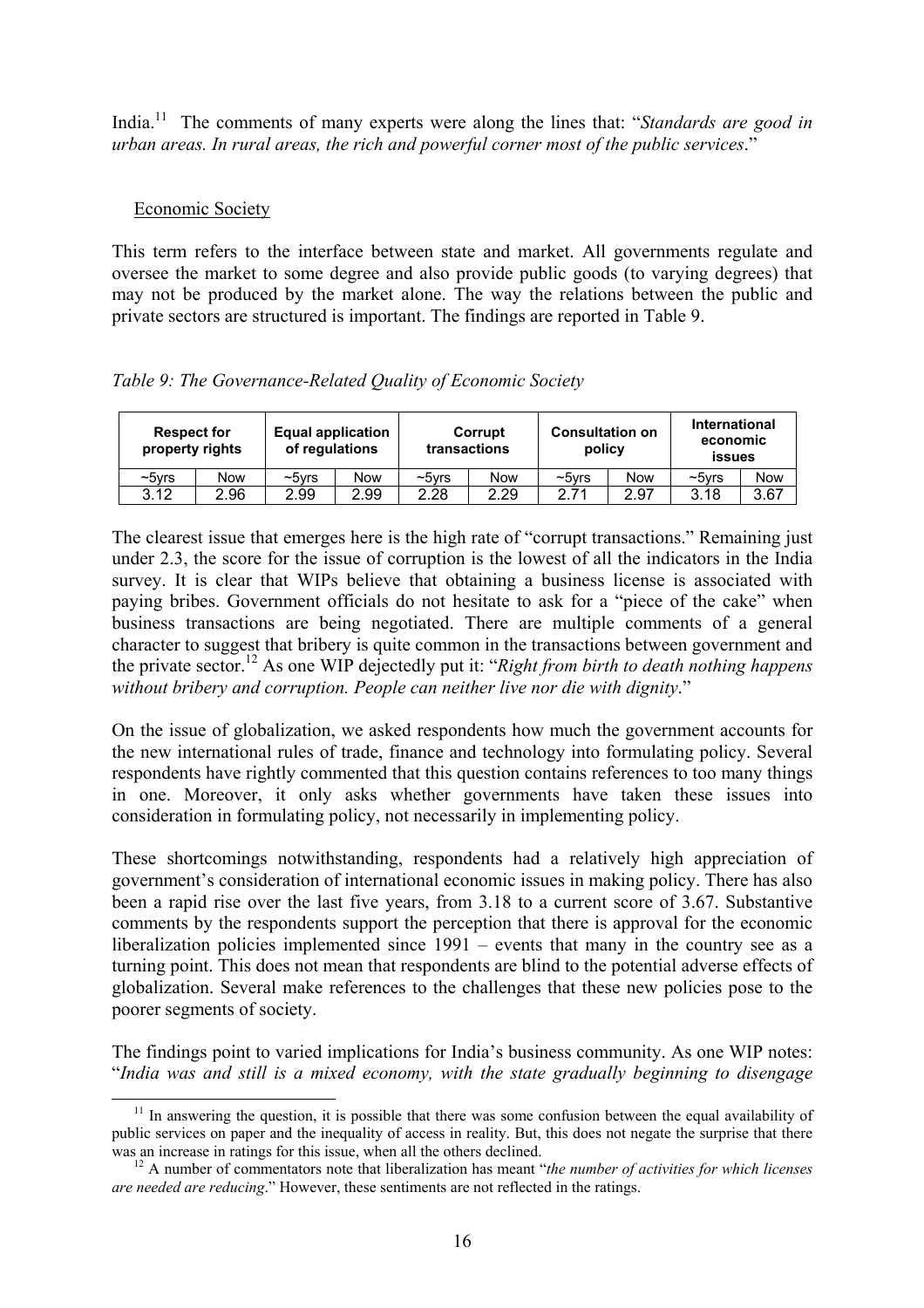India.<sup>11</sup> The comments of many experts were along the lines that: "*Standards are good in urban areas. In rural areas, the rich and powerful corner most of the public services*."

# Economic Society

This term refers to the interface between state and market. All governments regulate and oversee the market to some degree and also provide public goods (to varying degrees) that may not be produced by the market alone. The way the relations between the public and private sectors are structured is important. The findings are reported in Table 9.

*Table 9: The Governance-Related Quality of Economic Society* 

| <b>Respect for</b><br>property rights |      | <b>Equal application</b><br>of regulations |      |                   | Corrupt<br>transactions | <b>Consultation on</b><br>policy |      | International<br>economic<br><b>issues</b> |      |
|---------------------------------------|------|--------------------------------------------|------|-------------------|-------------------------|----------------------------------|------|--------------------------------------------|------|
| $\sim$ 5 $\nu$ rs                     | Now  | $\sim$ 5 $v$ rs                            | Now  | $\sim$ 5 $\nu$ rs | Now                     | $\sim$ 5 $\nu$ rs                | Now  | ∼5vrs                                      | Now  |
| 3.12                                  | 2.96 | 2.99                                       | 2.99 | 2.28              | 2.29                    | 2.71                             | 2.97 | 3.18                                       | 3.67 |

The clearest issue that emerges here is the high rate of "corrupt transactions." Remaining just under 2.3, the score for the issue of corruption is the lowest of all the indicators in the India survey. It is clear that WIPs believe that obtaining a business license is associated with paying bribes. Government officials do not hesitate to ask for a "piece of the cake" when business transactions are being negotiated. There are multiple comments of a general character to suggest that bribery is quite common in the transactions between government and the private sector.[12](#page-15-1) As one WIP dejectedly put it: "*Right from birth to death nothing happens without bribery and corruption. People can neither live nor die with dignity*."

On the issue of globalization, we asked respondents how much the government accounts for the new international rules of trade, finance and technology into formulating policy. Several respondents have rightly commented that this question contains references to too many things in one. Moreover, it only asks whether governments have taken these issues into consideration in formulating policy, not necessarily in implementing policy.

These shortcomings notwithstanding, respondents had a relatively high appreciation of government's consideration of international economic issues in making policy. There has also been a rapid rise over the last five years, from 3.18 to a current score of 3.67. Substantive comments by the respondents support the perception that there is approval for the economic liberalization policies implemented since 1991 – events that many in the country see as a turning point. This does not mean that respondents are blind to the potential adverse effects of globalization. Several make references to the challenges that these new policies pose to the poorer segments of society.

The findings point to varied implications for India's business community. As one WIP notes: "*India was and still is a mixed economy, with the state gradually beginning to disengage* 

<span id="page-15-0"></span> $11$  In answering the question, it is possible that there was some confusion between the equal availability of public services on paper and the inequality of access in reality. But, this does not negate the surprise that there was an increase in ratings for this issue, when all the others declined.

<span id="page-15-1"></span><sup>&</sup>lt;sup>12</sup> A number of commentators note that liberalization has meant "*the number of activities for which licenses are needed are reducing*." However, these sentiments are not reflected in the ratings.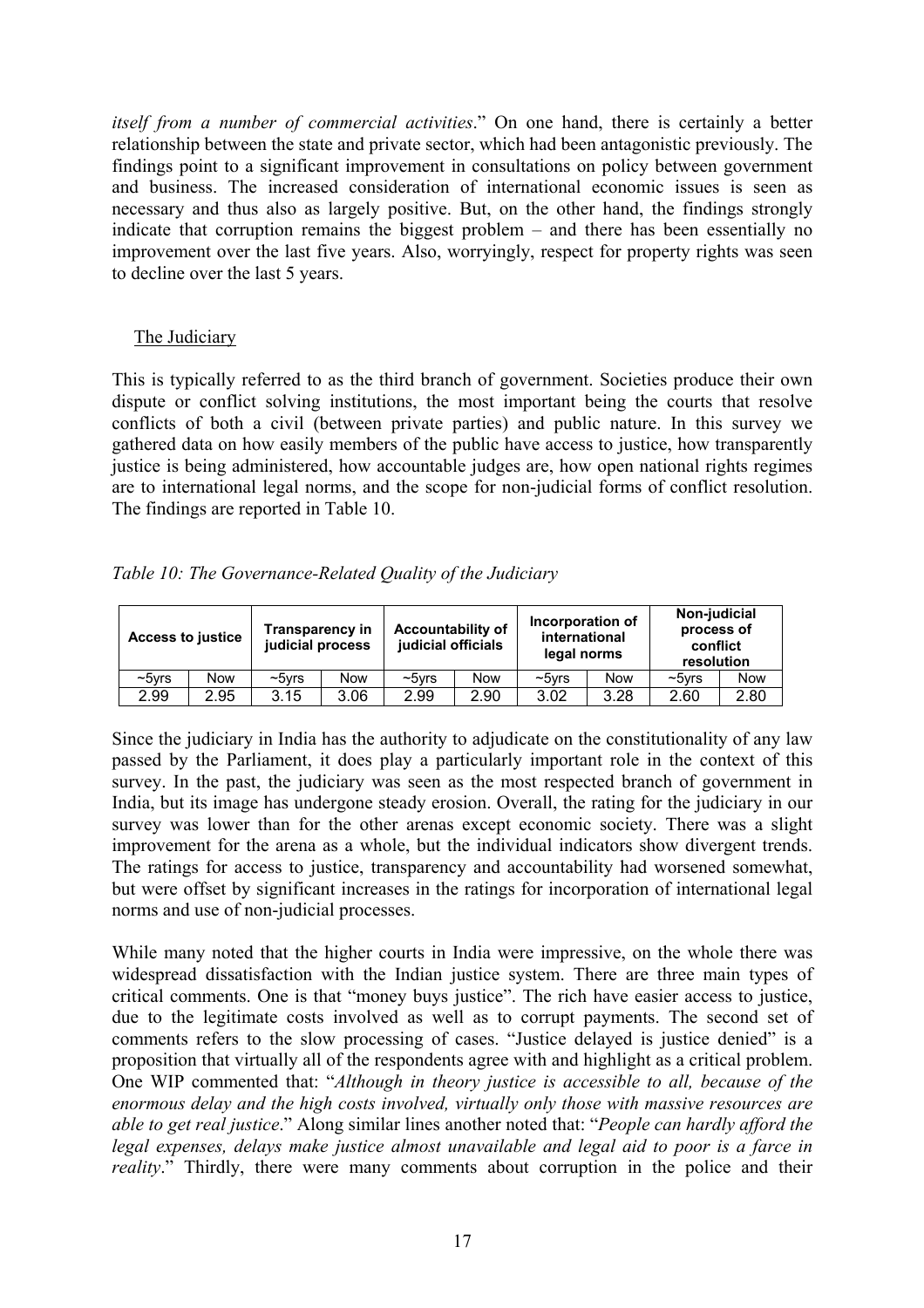*itself from a number of commercial activities*." On one hand, there is certainly a better relationship between the state and private sector, which had been antagonistic previously. The findings point to a significant improvement in consultations on policy between government and business. The increased consideration of international economic issues is seen as necessary and thus also as largely positive. But, on the other hand, the findings strongly indicate that corruption remains the biggest problem – and there has been essentially no improvement over the last five years. Also, worryingly, respect for property rights was seen to decline over the last 5 years.

# The Judiciary

This is typically referred to as the third branch of government. Societies produce their own dispute or conflict solving institutions, the most important being the courts that resolve conflicts of both a civil (between private parties) and public nature. In this survey we gathered data on how easily members of the public have access to justice, how transparently justice is being administered, how accountable judges are, how open national rights regimes are to international legal norms, and the scope for non-judicial forms of conflict resolution. The findings are reported in Table 10.

*Table 10: The Governance-Related Quality of the Judiciary* 

| <b>Access to justice</b> |      | <b>Transparency in</b><br>judicial process |            | <b>Accountability of</b><br>judicial officials |      | Incorporation of<br>international<br>legal norms |            | Non-judicial<br>process of<br>conflict<br>resolution |            |
|--------------------------|------|--------------------------------------------|------------|------------------------------------------------|------|--------------------------------------------------|------------|------------------------------------------------------|------------|
| $\sim$ 5 $V$ rs          | Now  | $~5$ vrs                                   | <b>Now</b> | $\sim$ 5 $V$ rs                                | Now  | $\sim$ 5 $v$ rs                                  | <b>Now</b> | $\sim$ 5 vrs                                         | <b>Now</b> |
| 2.99                     | 2.95 | 3.15                                       | 3.06       | 2.99                                           | 2.90 | 3.02                                             | 3.28       | 2.60                                                 | 2.80       |

Since the judiciary in India has the authority to adjudicate on the constitutionality of any law passed by the Parliament, it does play a particularly important role in the context of this survey. In the past, the judiciary was seen as the most respected branch of government in India, but its image has undergone steady erosion. Overall, the rating for the judiciary in our survey was lower than for the other arenas except economic society. There was a slight improvement for the arena as a whole, but the individual indicators show divergent trends. The ratings for access to justice, transparency and accountability had worsened somewhat, but were offset by significant increases in the ratings for incorporation of international legal norms and use of non-judicial processes.

While many noted that the higher courts in India were impressive, on the whole there was widespread dissatisfaction with the Indian justice system. There are three main types of critical comments. One is that "money buys justice". The rich have easier access to justice, due to the legitimate costs involved as well as to corrupt payments. The second set of comments refers to the slow processing of cases. "Justice delayed is justice denied" is a proposition that virtually all of the respondents agree with and highlight as a critical problem. One WIP commented that: "*Although in theory justice is accessible to all, because of the enormous delay and the high costs involved, virtually only those with massive resources are able to get real justice*." Along similar lines another noted that: "*People can hardly afford the legal expenses, delays make justice almost unavailable and legal aid to poor is a farce in reality*." Thirdly, there were many comments about corruption in the police and their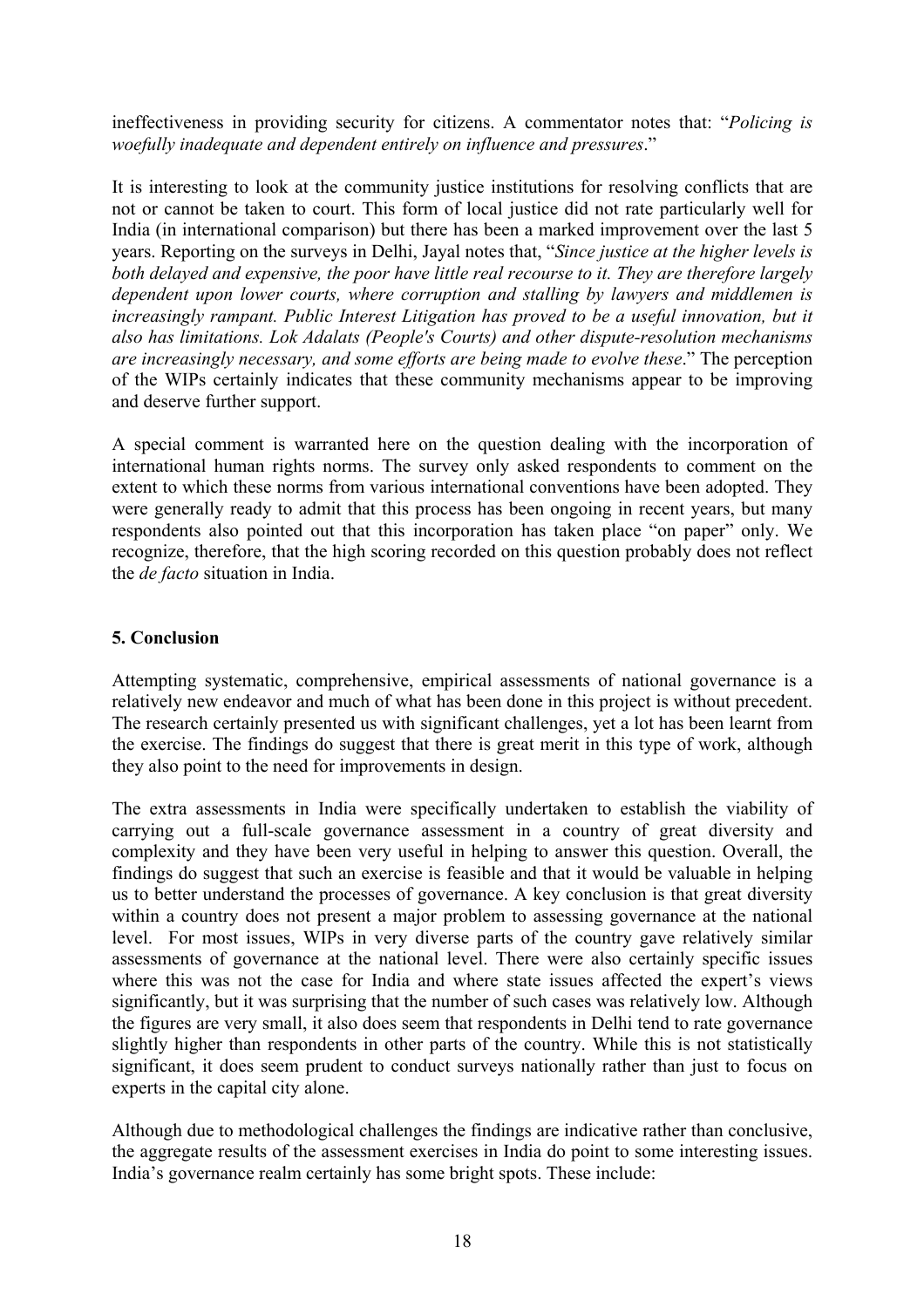ineffectiveness in providing security for citizens. A commentator notes that: "*Policing is woefully inadequate and dependent entirely on influence and pressures*."

It is interesting to look at the community justice institutions for resolving conflicts that are not or cannot be taken to court. This form of local justice did not rate particularly well for India (in international comparison) but there has been a marked improvement over the last 5 years. Reporting on the surveys in Delhi, Jayal notes that, "*Since justice at the higher levels is both delayed and expensive, the poor have little real recourse to it. They are therefore largely dependent upon lower courts, where corruption and stalling by lawyers and middlemen is*  increasingly rampant. Public Interest Litigation has proved to be a useful innovation, but it *also has limitations. Lok Adalats (People's Courts) and other dispute-resolution mechanisms are increasingly necessary, and some efforts are being made to evolve these*." The perception of the WIPs certainly indicates that these community mechanisms appear to be improving and deserve further support.

A special comment is warranted here on the question dealing with the incorporation of international human rights norms. The survey only asked respondents to comment on the extent to which these norms from various international conventions have been adopted. They were generally ready to admit that this process has been ongoing in recent years, but many respondents also pointed out that this incorporation has taken place "on paper" only. We recognize, therefore, that the high scoring recorded on this question probably does not reflect the *de facto* situation in India.

# **5. Conclusion**

Attempting systematic, comprehensive, empirical assessments of national governance is a relatively new endeavor and much of what has been done in this project is without precedent. The research certainly presented us with significant challenges, yet a lot has been learnt from the exercise. The findings do suggest that there is great merit in this type of work, although they also point to the need for improvements in design.

The extra assessments in India were specifically undertaken to establish the viability of carrying out a full-scale governance assessment in a country of great diversity and complexity and they have been very useful in helping to answer this question. Overall, the findings do suggest that such an exercise is feasible and that it would be valuable in helping us to better understand the processes of governance. A key conclusion is that great diversity within a country does not present a major problem to assessing governance at the national level. For most issues, WIPs in very diverse parts of the country gave relatively similar assessments of governance at the national level. There were also certainly specific issues where this was not the case for India and where state issues affected the expert's views significantly, but it was surprising that the number of such cases was relatively low. Although the figures are very small, it also does seem that respondents in Delhi tend to rate governance slightly higher than respondents in other parts of the country. While this is not statistically significant, it does seem prudent to conduct surveys nationally rather than just to focus on experts in the capital city alone.

Although due to methodological challenges the findings are indicative rather than conclusive, the aggregate results of the assessment exercises in India do point to some interesting issues. India's governance realm certainly has some bright spots. These include: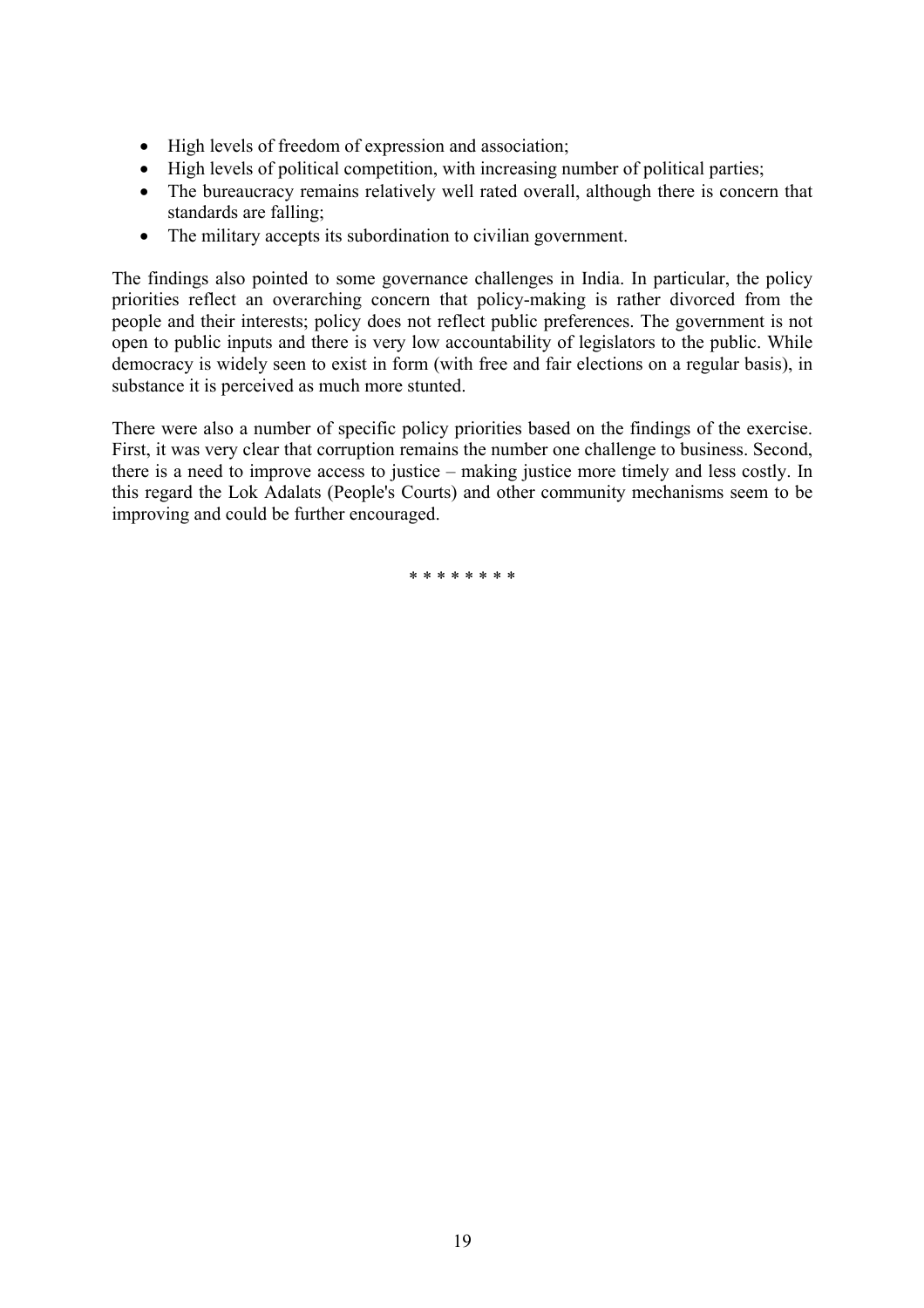- High levels of freedom of expression and association;
- High levels of political competition, with increasing number of political parties;
- The bureaucracy remains relatively well rated overall, although there is concern that standards are falling;
- The military accepts its subordination to civilian government.

The findings also pointed to some governance challenges in India. In particular, the policy priorities reflect an overarching concern that policy-making is rather divorced from the people and their interests; policy does not reflect public preferences. The government is not open to public inputs and there is very low accountability of legislators to the public. While democracy is widely seen to exist in form (with free and fair elections on a regular basis), in substance it is perceived as much more stunted.

There were also a number of specific policy priorities based on the findings of the exercise. First, it was very clear that corruption remains the number one challenge to business. Second, there is a need to improve access to justice – making justice more timely and less costly. In this regard the Lok Adalats (People's Courts) and other community mechanisms seem to be improving and could be further encouraged.

\* \* \* \* \* \* \* \*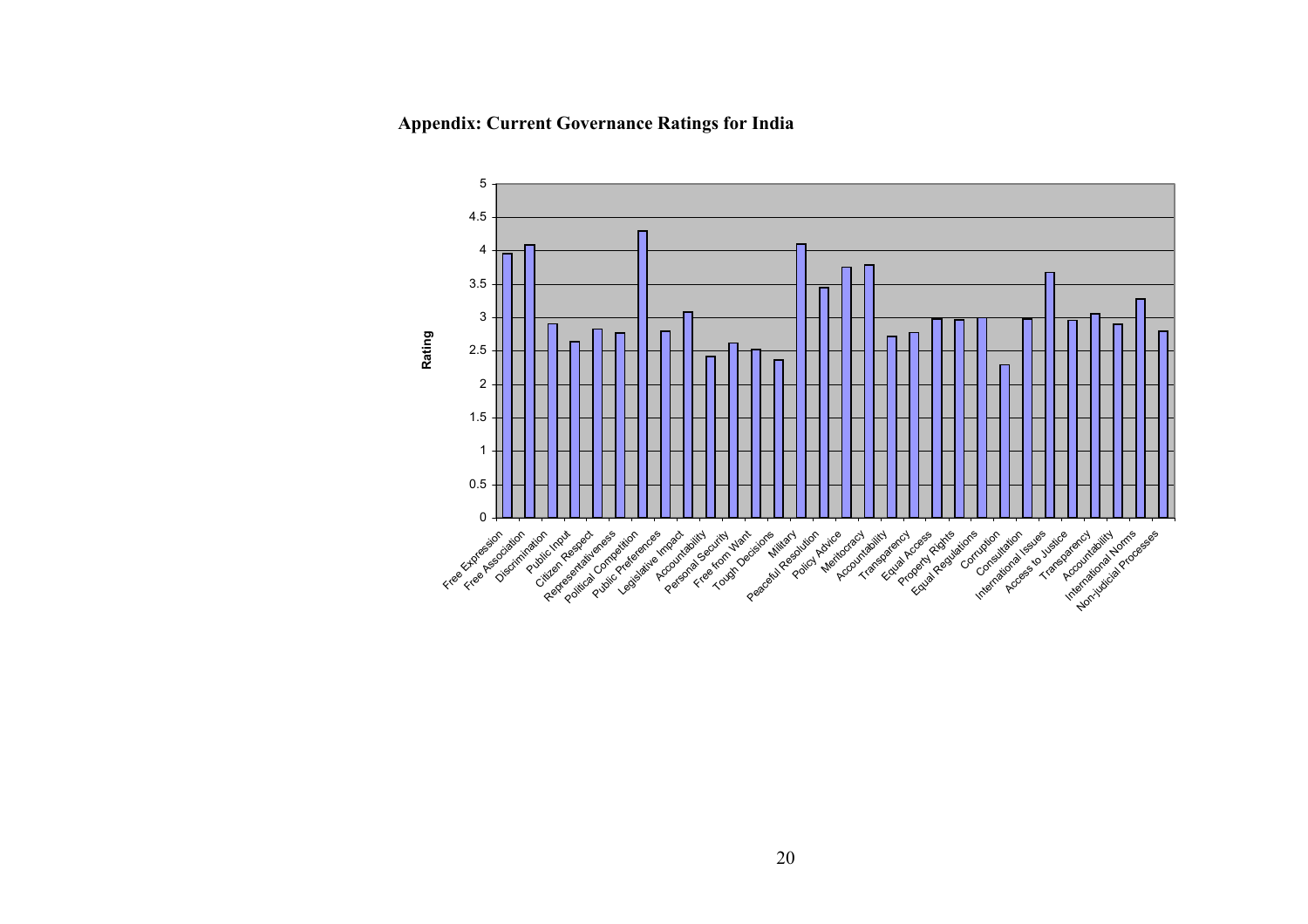**Appendix: Current Governance Ratings for India** 

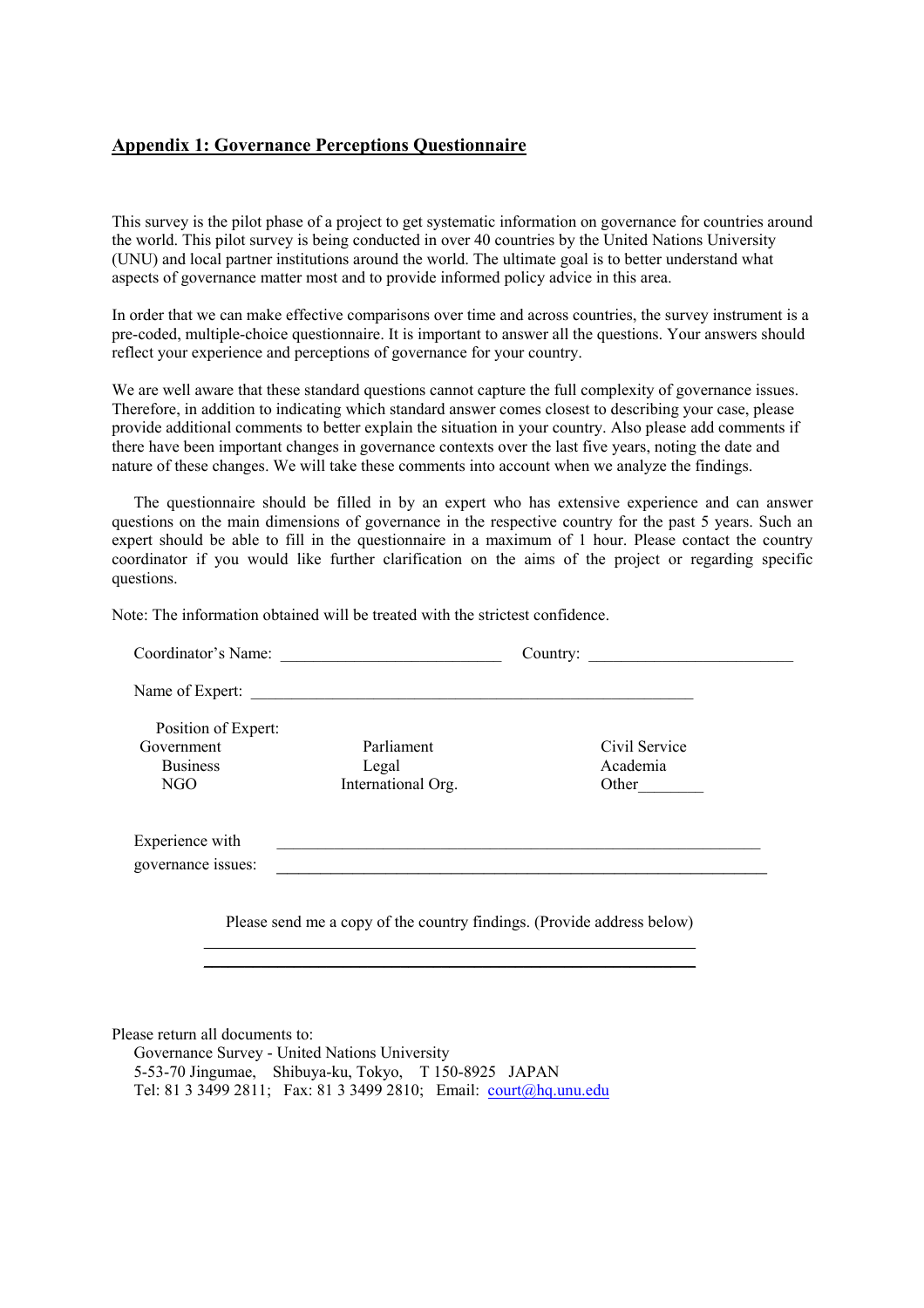## **Appendix 1: Governance Perceptions Questionnaire**

This survey is the pilot phase of a project to get systematic information on governance for countries around the world. This pilot survey is being conducted in over 40 countries by the United Nations University (UNU) and local partner institutions around the world. The ultimate goal is to better understand what aspects of governance matter most and to provide informed policy advice in this area.

In order that we can make effective comparisons over time and across countries, the survey instrument is a pre-coded, multiple-choice questionnaire. It is important to answer all the questions. Your answers should reflect your experience and perceptions of governance for your country.

We are well aware that these standard questions cannot capture the full complexity of governance issues. Therefore, in addition to indicating which standard answer comes closest to describing your case, please provide additional comments to better explain the situation in your country. Also please add comments if there have been important changes in governance contexts over the last five years, noting the date and nature of these changes. We will take these comments into account when we analyze the findings.

The questionnaire should be filled in by an expert who has extensive experience and can answer questions on the main dimensions of governance in the respective country for the past 5 years. Such an expert should be able to fill in the questionnaire in a maximum of 1 hour. Please contact the country coordinator if you would like further clarification on the aims of the project or regarding specific questions.

Note: The information obtained will be treated with the strictest confidence.

| Coordinator's Name: |                                                                        | Country:      |  |
|---------------------|------------------------------------------------------------------------|---------------|--|
|                     | Name of Expert:                                                        |               |  |
| Position of Expert: |                                                                        |               |  |
| Government          | Parliament                                                             | Civil Service |  |
| <b>Business</b>     | Legal                                                                  | Academia      |  |
| NGO                 | International Org.                                                     | Other         |  |
|                     |                                                                        |               |  |
| Experience with     |                                                                        |               |  |
| governance issues:  |                                                                        |               |  |
|                     |                                                                        |               |  |
|                     |                                                                        |               |  |
|                     | Please send me a copy of the country findings. (Provide address below) |               |  |
|                     |                                                                        |               |  |

\_\_\_\_\_\_\_\_\_\_\_\_\_\_\_\_\_\_\_\_\_\_\_\_\_\_\_\_\_\_\_\_\_\_\_\_\_\_\_\_\_\_\_\_\_\_\_\_\_\_\_\_\_\_\_\_\_\_\_\_

Please return all documents to:

Governance Survey - United Nations University 5-53-70 Jingumae, Shibuya-ku, Tokyo, T 150-8925 JAPAN Tel: 81 3 3499 2811; Fax: 81 3 3499 2810; Email: [court@hq.unu.edu](mailto:court@hq.unu.edu)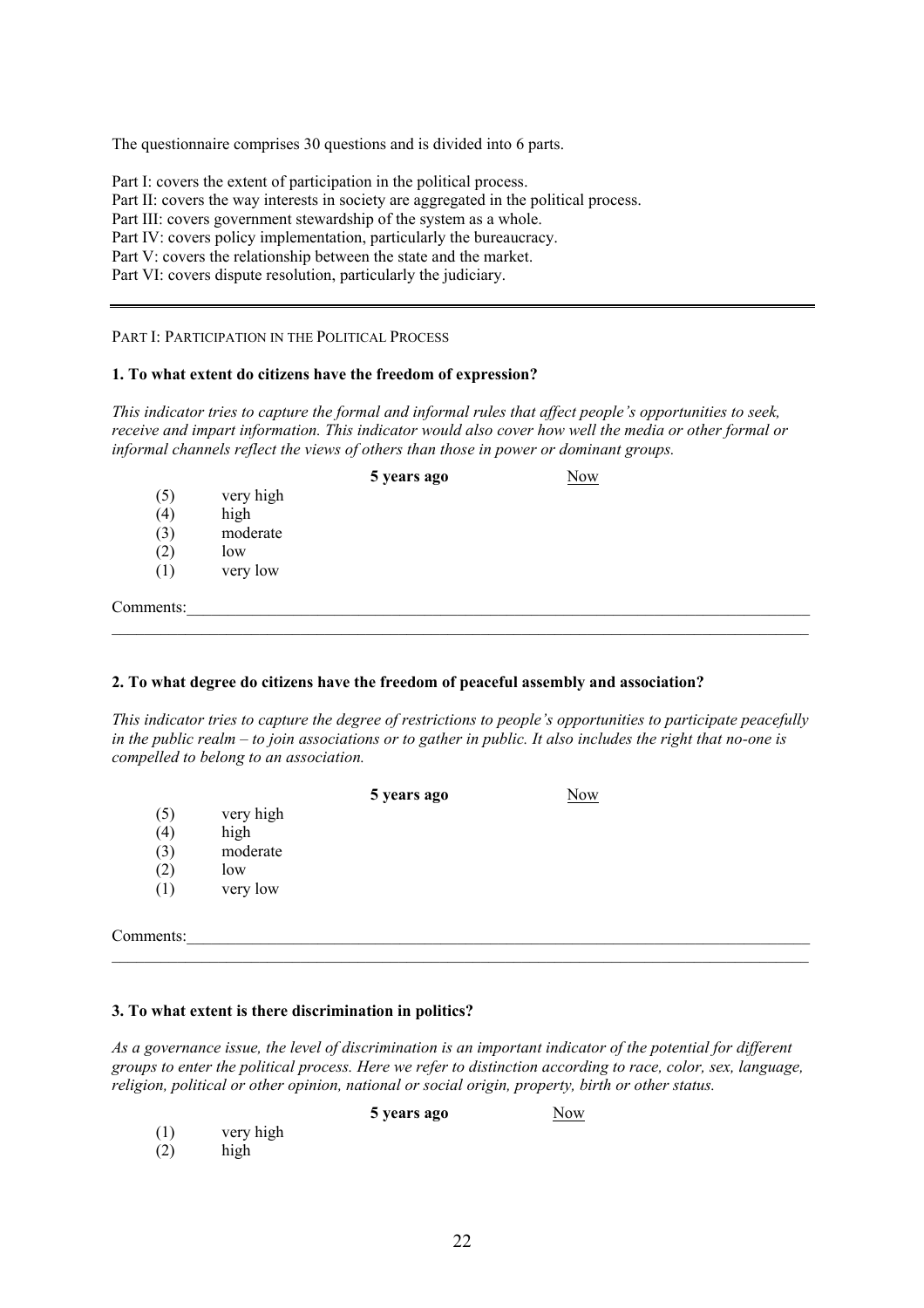The questionnaire comprises 30 questions and is divided into 6 parts.

Part I: covers the extent of participation in the political process.

Part II: covers the way interests in society are aggregated in the political process.

Part III: covers government stewardship of the system as a whole.

Part IV: covers policy implementation, particularly the bureaucracy.

Part V: covers the relationship between the state and the market.

Part VI: covers dispute resolution, particularly the judiciary.

PART I: PARTICIPATION IN THE POLITICAL PROCESS

## **1. To what extent do citizens have the freedom of expression?**

*This indicator tries to capture the formal and informal rules that affect people's opportunities to seek, receive and impart information. This indicator would also cover how well the media or other formal or informal channels reflect the views of others than those in power or dominant groups.* 

|           |           | 5 years ago | <b>Now</b> |  |
|-----------|-----------|-------------|------------|--|
| (5)       | very high |             |            |  |
| (4)       | high      |             |            |  |
| (3)       | moderate  |             |            |  |
| (2)       | low       |             |            |  |
| (1)       | very low  |             |            |  |
| Comments: |           |             |            |  |
|           |           |             |            |  |

## **2. To what degree do citizens have the freedom of peaceful assembly and association?**

*This indicator tries to capture the degree of restrictions to people's opportunities to participate peacefully in the public realm – to join associations or to gather in public. It also includes the right that no-one is compelled to belong to an association.* 

|           |           | 5 years ago | Now |  |
|-----------|-----------|-------------|-----|--|
| (5)       | very high |             |     |  |
| (4)       | high      |             |     |  |
| (3)       | moderate  |             |     |  |
| (2)       | low       |             |     |  |
| (1)       | very low  |             |     |  |
|           |           |             |     |  |
| Comments: |           |             |     |  |
|           |           |             |     |  |

## **3. To what extent is there discrimination in politics?**

*As a governance issue, the level of discrimination is an important indicator of the potential for different groups to enter the political process. Here we refer to distinction according to race, color, sex, language, religion, political or other opinion, national or social origin, property, birth or other status.*

**5 years ago** Now

(1) very high

(2) high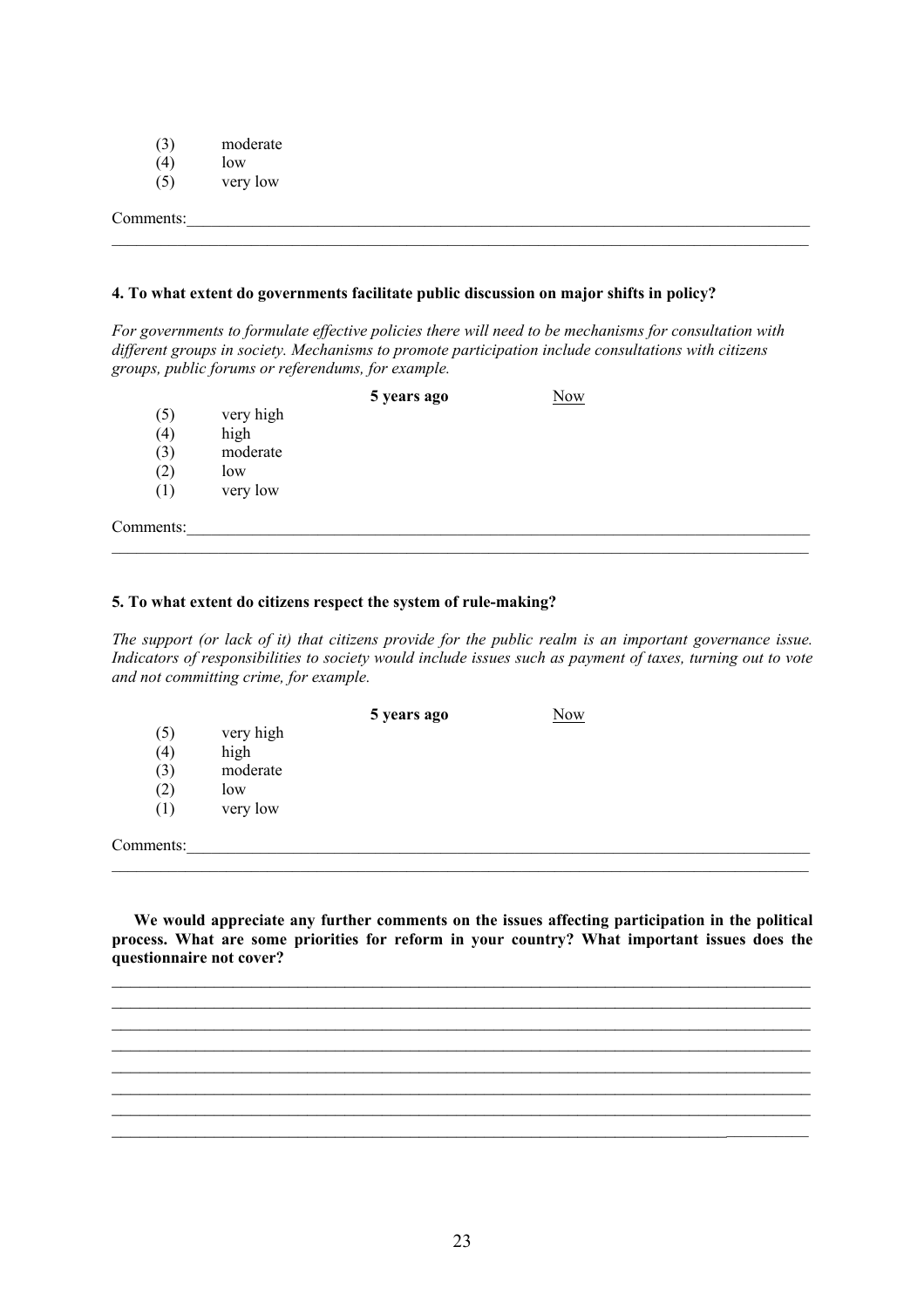- (3) moderate  $(4)$  how
- $(4)$  low
- $(5)$  very low

Comments:

## **4. To what extent do governments facilitate public discussion on major shifts in policy?**

*For governments to formulate effective policies there will need to be mechanisms for consultation with different groups in society. Mechanisms to promote participation include consultations with citizens groups, public forums or referendums, for example.* 

 $\mathcal{L}_\mathcal{L} = \{ \mathcal{L}_\mathcal{L} = \{ \mathcal{L}_\mathcal{L} = \{ \mathcal{L}_\mathcal{L} = \{ \mathcal{L}_\mathcal{L} = \{ \mathcal{L}_\mathcal{L} = \{ \mathcal{L}_\mathcal{L} = \{ \mathcal{L}_\mathcal{L} = \{ \mathcal{L}_\mathcal{L} = \{ \mathcal{L}_\mathcal{L} = \{ \mathcal{L}_\mathcal{L} = \{ \mathcal{L}_\mathcal{L} = \{ \mathcal{L}_\mathcal{L} = \{ \mathcal{L}_\mathcal{L} = \{ \mathcal{L}_\mathcal{$ 

|           |           | 5 years ago | Now |  |
|-----------|-----------|-------------|-----|--|
| (5)       | very high |             |     |  |
| (4)       | high      |             |     |  |
| (3)       | moderate  |             |     |  |
| (2)       | low       |             |     |  |
| (1)       | very low  |             |     |  |
| Comments: |           |             |     |  |

#### **5. To what extent do citizens respect the system of rule-making?**

*The support (or lack of it) that citizens provide for the public realm is an important governance issue. Indicators of responsibilities to society would include issues such as payment of taxes, turning out to vote and not committing crime, for example.* 

 $\mathcal{L}_\mathcal{L} = \{ \mathcal{L}_\mathcal{L} = \{ \mathcal{L}_\mathcal{L} = \{ \mathcal{L}_\mathcal{L} = \{ \mathcal{L}_\mathcal{L} = \{ \mathcal{L}_\mathcal{L} = \{ \mathcal{L}_\mathcal{L} = \{ \mathcal{L}_\mathcal{L} = \{ \mathcal{L}_\mathcal{L} = \{ \mathcal{L}_\mathcal{L} = \{ \mathcal{L}_\mathcal{L} = \{ \mathcal{L}_\mathcal{L} = \{ \mathcal{L}_\mathcal{L} = \{ \mathcal{L}_\mathcal{L} = \{ \mathcal{L}_\mathcal{$ 

|           |           | 5 years ago | <b>Now</b> |  |
|-----------|-----------|-------------|------------|--|
| (5)       | very high |             |            |  |
| (4)       | high      |             |            |  |
| (3)       | moderate  |             |            |  |
| (2)       | low       |             |            |  |
| (1)       | very low  |             |            |  |
|           |           |             |            |  |
| Comments: |           |             |            |  |

**We would appreciate any further comments on the issues affecting participation in the political process. What are some priorities for reform in your country? What important issues does the questionnaire not cover?** 

 $\mathcal{L}_\text{max}$  , and the contribution of the contribution of the contribution of the contribution of the contribution of the contribution of the contribution of the contribution of the contribution of the contribution of t

 $\mathcal{L}_\text{max}$  , and the contribution of the contribution of the contribution of the contribution of the contribution of the contribution of the contribution of the contribution of the contribution of the contribution of t

\_\_\_\_\_\_\_\_\_\_\_\_\_\_\_\_\_\_\_\_\_\_\_\_\_\_\_\_\_\_\_\_\_\_\_\_\_\_\_\_\_\_\_\_\_\_\_\_\_\_\_\_\_\_\_\_\_\_\_\_\_\_\_\_\_\_\_\_\_\_\_\_\_\_\_  $\mathcal{L}_\mathcal{L} = \{ \mathcal{L}_\mathcal{L} = \{ \mathcal{L}_\mathcal{L} = \{ \mathcal{L}_\mathcal{L} = \{ \mathcal{L}_\mathcal{L} = \{ \mathcal{L}_\mathcal{L} = \{ \mathcal{L}_\mathcal{L} = \{ \mathcal{L}_\mathcal{L} = \{ \mathcal{L}_\mathcal{L} = \{ \mathcal{L}_\mathcal{L} = \{ \mathcal{L}_\mathcal{L} = \{ \mathcal{L}_\mathcal{L} = \{ \mathcal{L}_\mathcal{L} = \{ \mathcal{L}_\mathcal{L} = \{ \mathcal{L}_\mathcal{$  $\mathcal{L}_\text{max}$  , and the contribution of the contribution of the contribution of the contribution of the contribution of the contribution of the contribution of the contribution of the contribution of the contribution of t  $\mathcal{L}_\text{max}$  , and the contribution of the contribution of the contribution of the contribution of the contribution of the contribution of the contribution of the contribution of the contribution of the contribution of t  $\mathcal{L}_\mathcal{L} = \mathcal{L}_\mathcal{L} = \mathcal{L}_\mathcal{L} = \mathcal{L}_\mathcal{L} = \mathcal{L}_\mathcal{L} = \mathcal{L}_\mathcal{L} = \mathcal{L}_\mathcal{L} = \mathcal{L}_\mathcal{L} = \mathcal{L}_\mathcal{L} = \mathcal{L}_\mathcal{L} = \mathcal{L}_\mathcal{L} = \mathcal{L}_\mathcal{L} = \mathcal{L}_\mathcal{L} = \mathcal{L}_\mathcal{L} = \mathcal{L}_\mathcal{L} = \mathcal{L}_\mathcal{L} = \mathcal{L}_\mathcal{L}$ 

 $\mathcal{L}_\mathcal{L} = \{ \mathcal{L}_\mathcal{L} = \{ \mathcal{L}_\mathcal{L} = \{ \mathcal{L}_\mathcal{L} = \{ \mathcal{L}_\mathcal{L} = \{ \mathcal{L}_\mathcal{L} = \{ \mathcal{L}_\mathcal{L} = \{ \mathcal{L}_\mathcal{L} = \{ \mathcal{L}_\mathcal{L} = \{ \mathcal{L}_\mathcal{L} = \{ \mathcal{L}_\mathcal{L} = \{ \mathcal{L}_\mathcal{L} = \{ \mathcal{L}_\mathcal{L} = \{ \mathcal{L}_\mathcal{L} = \{ \mathcal{L}_\mathcal{$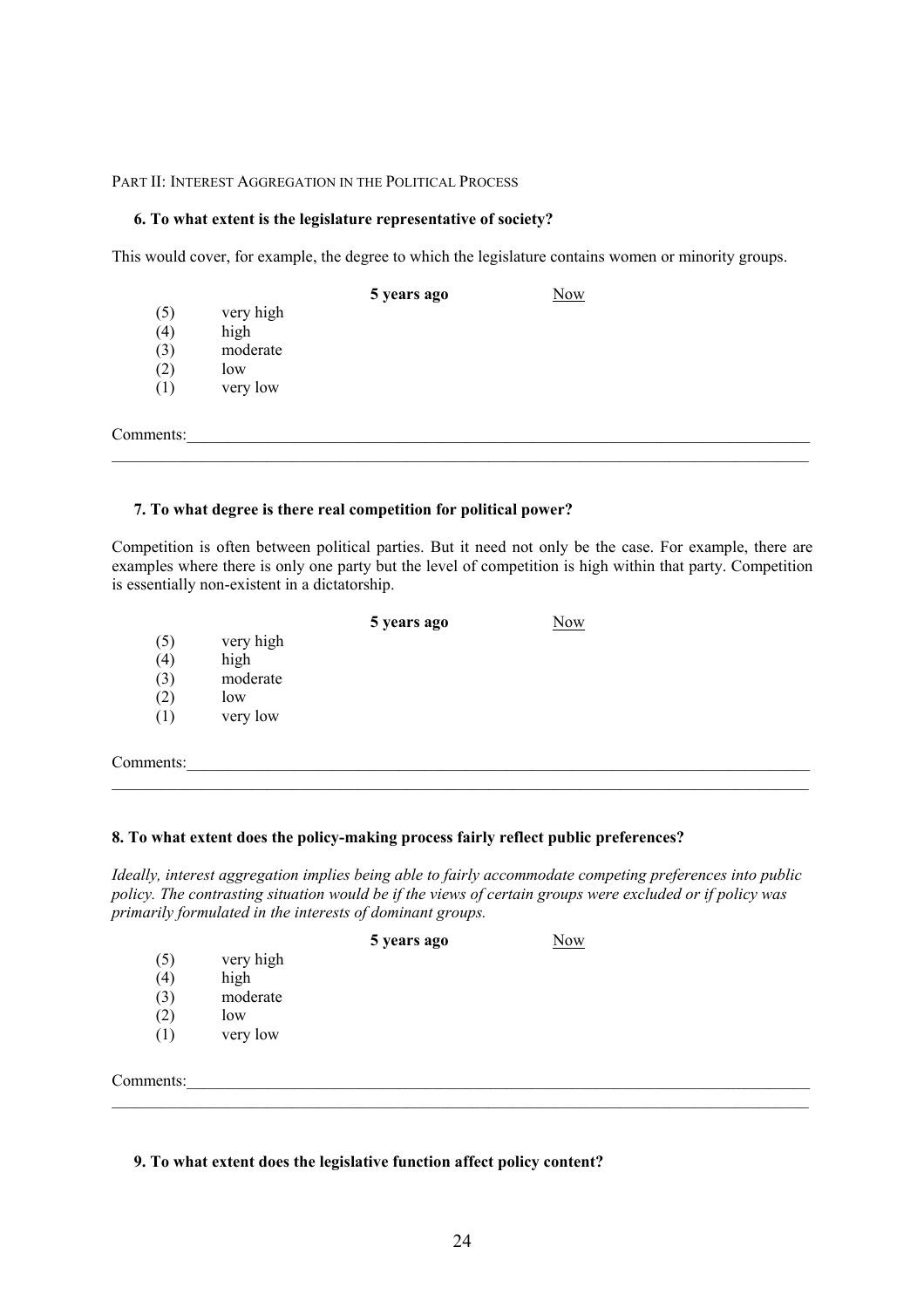## PART II: INTEREST AGGREGATION IN THE POLITICAL PROCESS

#### **6. To what extent is the legislature representative of society?**

This would cover, for example, the degree to which the legislature contains women or minority groups.

|           |           | 5 years ago | <b>Now</b> |  |
|-----------|-----------|-------------|------------|--|
| (5)       | very high |             |            |  |
| (4)       | high      |             |            |  |
| (3)       | moderate  |             |            |  |
| (2)       | low       |             |            |  |
| (1)       | very low  |             |            |  |
|           |           |             |            |  |
| Comments: |           |             |            |  |
|           |           |             |            |  |

## **7. To what degree is there real competition for political power?**

Competition is often between political parties. But it need not only be the case. For example, there are examples where there is only one party but the level of competition is high within that party. Competition is essentially non-existent in a dictatorship.

|           |           | 5 years ago | Now |
|-----------|-----------|-------------|-----|
| (5)       | very high |             |     |
| (4)       | high      |             |     |
| (3)       | moderate  |             |     |
| (2)       | low       |             |     |
| (1)       | very low  |             |     |
|           |           |             |     |
| Comments: |           |             |     |

#### **8. To what extent does the policy-making process fairly reflect public preferences?**

*Ideally, interest aggregation implies being able to fairly accommodate competing preferences into public policy. The contrasting situation would be if the views of certain groups were excluded or if policy was primarily formulated in the interests of dominant groups.*

|           |           | 5 years ago | <b>Now</b> |  |
|-----------|-----------|-------------|------------|--|
| (5)       | very high |             |            |  |
| (4)       | high      |             |            |  |
| (3)       | moderate  |             |            |  |
| (2)       | low       |             |            |  |
| (1)       | very low  |             |            |  |
|           |           |             |            |  |
| Comments: |           |             |            |  |

#### **9. To what extent does the legislative function affect policy content?**

 $\mathcal{L}_\mathcal{L} = \{ \mathcal{L}_\mathcal{L} = \{ \mathcal{L}_\mathcal{L} = \{ \mathcal{L}_\mathcal{L} = \{ \mathcal{L}_\mathcal{L} = \{ \mathcal{L}_\mathcal{L} = \{ \mathcal{L}_\mathcal{L} = \{ \mathcal{L}_\mathcal{L} = \{ \mathcal{L}_\mathcal{L} = \{ \mathcal{L}_\mathcal{L} = \{ \mathcal{L}_\mathcal{L} = \{ \mathcal{L}_\mathcal{L} = \{ \mathcal{L}_\mathcal{L} = \{ \mathcal{L}_\mathcal{L} = \{ \mathcal{L}_\mathcal{$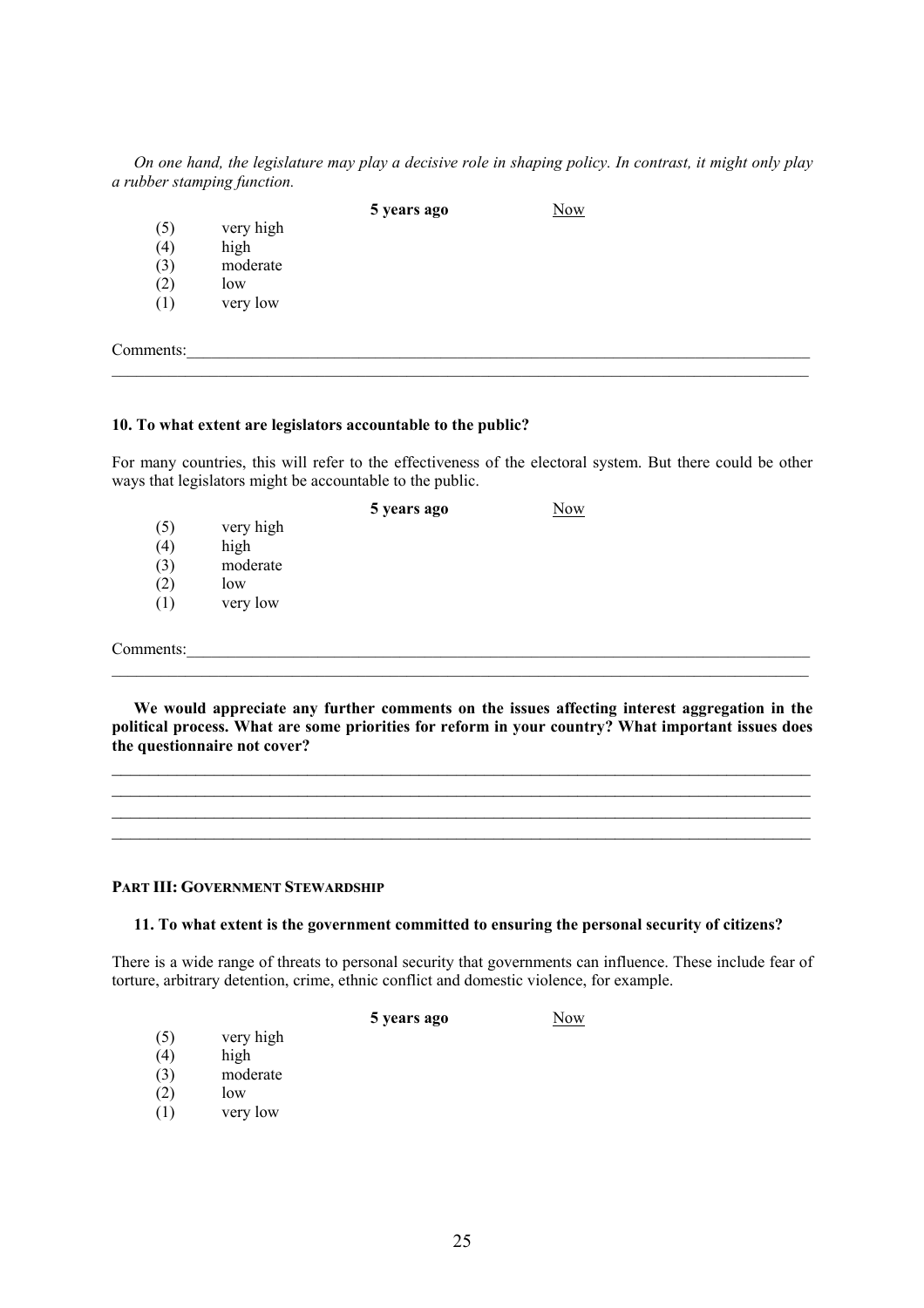*On one hand, the legislature may play a decisive role in shaping policy. In contrast, it might only play a rubber stamping function.* 

**5 years ago** Now

- (5) very high  $(4)$  high
- (4) high
- $(3)$  moderate
- $(2)$  low
- (1) very low

Comments:

## **10. To what extent are legislators accountable to the public?**

For many countries, this will refer to the effectiveness of the electoral system. But there could be other ways that legislators might be accountable to the public.

 $\mathcal{L}_\mathcal{L} = \{ \mathcal{L}_\mathcal{L} = \{ \mathcal{L}_\mathcal{L} = \{ \mathcal{L}_\mathcal{L} = \{ \mathcal{L}_\mathcal{L} = \{ \mathcal{L}_\mathcal{L} = \{ \mathcal{L}_\mathcal{L} = \{ \mathcal{L}_\mathcal{L} = \{ \mathcal{L}_\mathcal{L} = \{ \mathcal{L}_\mathcal{L} = \{ \mathcal{L}_\mathcal{L} = \{ \mathcal{L}_\mathcal{L} = \{ \mathcal{L}_\mathcal{L} = \{ \mathcal{L}_\mathcal{L} = \{ \mathcal{L}_\mathcal{$ 

|     |           | 5 years ago | Now |  |
|-----|-----------|-------------|-----|--|
| (5) | very high |             |     |  |
| (4) | high      |             |     |  |
| (3) | moderate  |             |     |  |
| (2) | low       |             |     |  |
| (1) | very low  |             |     |  |
|     |           |             |     |  |

Comments:

**We would appreciate any further comments on the issues affecting interest aggregation in the political process. What are some priorities for reform in your country? What important issues does the questionnaire not cover?** 

 $\mathcal{L}_\mathcal{L} = \{ \mathcal{L}_\mathcal{L} = \{ \mathcal{L}_\mathcal{L} = \{ \mathcal{L}_\mathcal{L} = \{ \mathcal{L}_\mathcal{L} = \{ \mathcal{L}_\mathcal{L} = \{ \mathcal{L}_\mathcal{L} = \{ \mathcal{L}_\mathcal{L} = \{ \mathcal{L}_\mathcal{L} = \{ \mathcal{L}_\mathcal{L} = \{ \mathcal{L}_\mathcal{L} = \{ \mathcal{L}_\mathcal{L} = \{ \mathcal{L}_\mathcal{L} = \{ \mathcal{L}_\mathcal{L} = \{ \mathcal{L}_\mathcal{$ 



## **PART III: GOVERNMENT STEWARDSHIP**

## **11. To what extent is the government committed to ensuring the personal security of citizens?**

There is a wide range of threats to personal security that governments can influence. These include fear of torture, arbitrary detention, crime, ethnic conflict and domestic violence, for example.

**5 years ago Now** 

- (5) very high
- (4) high
- (3) moderate
- $(2)$  low
- (1) very low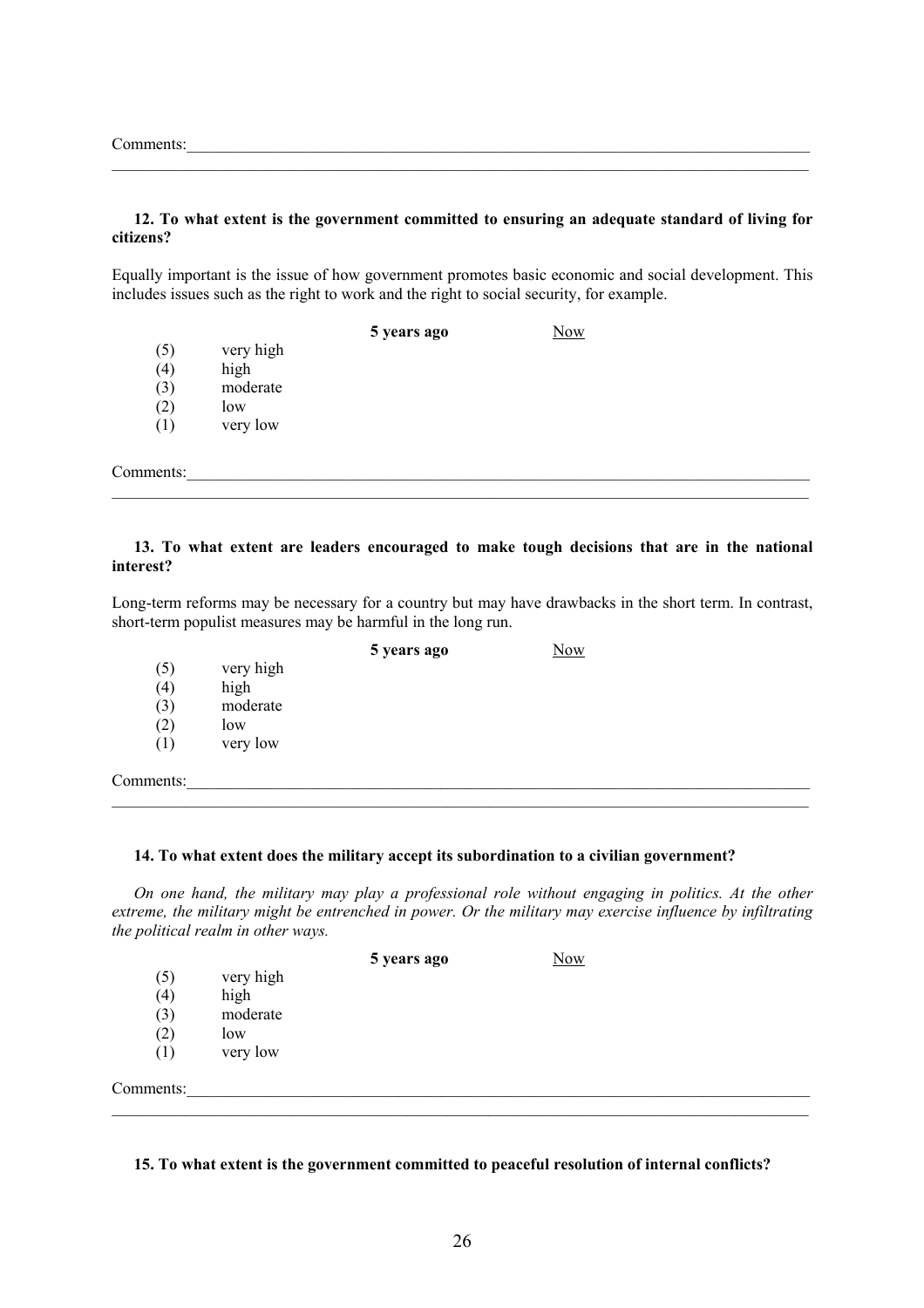Comments:

#### **12. To what extent is the government committed to ensuring an adequate standard of living for citizens?**

 $\mathcal{L}_\mathcal{L} = \{ \mathcal{L}_\mathcal{L} = \{ \mathcal{L}_\mathcal{L} = \{ \mathcal{L}_\mathcal{L} = \{ \mathcal{L}_\mathcal{L} = \{ \mathcal{L}_\mathcal{L} = \{ \mathcal{L}_\mathcal{L} = \{ \mathcal{L}_\mathcal{L} = \{ \mathcal{L}_\mathcal{L} = \{ \mathcal{L}_\mathcal{L} = \{ \mathcal{L}_\mathcal{L} = \{ \mathcal{L}_\mathcal{L} = \{ \mathcal{L}_\mathcal{L} = \{ \mathcal{L}_\mathcal{L} = \{ \mathcal{L}_\mathcal{$ 

Equally important is the issue of how government promotes basic economic and social development. This includes issues such as the right to work and the right to social security, for example.

|           |           | 5 years ago | <b>Now</b> |  |
|-----------|-----------|-------------|------------|--|
| (5)       | very high |             |            |  |
| (4)       | high      |             |            |  |
| (3)       | moderate  |             |            |  |
| (2)       | low       |             |            |  |
| (1)       | very low  |             |            |  |
|           |           |             |            |  |
| Comments: |           |             |            |  |
|           |           |             |            |  |

#### **13. To what extent are leaders encouraged to make tough decisions that are in the national interest?**

Long-term reforms may be necessary for a country but may have drawbacks in the short term. In contrast, short-term populist measures may be harmful in the long run.

**5 years ago** Now

- (5) very high
- (4) high (3) moderate
- 
- $(2)$  low (1) very low

Comments:

## **14. To what extent does the military accept its subordination to a civilian government?**

*On one hand, the military may play a professional role without engaging in politics. At the other extreme, the military might be entrenched in power. Or the military may exercise influence by infiltrating the political realm in other ways.* 

 $\mathcal{L}_\mathcal{L} = \{ \mathcal{L}_\mathcal{L} = \{ \mathcal{L}_\mathcal{L} = \{ \mathcal{L}_\mathcal{L} = \{ \mathcal{L}_\mathcal{L} = \{ \mathcal{L}_\mathcal{L} = \{ \mathcal{L}_\mathcal{L} = \{ \mathcal{L}_\mathcal{L} = \{ \mathcal{L}_\mathcal{L} = \{ \mathcal{L}_\mathcal{L} = \{ \mathcal{L}_\mathcal{L} = \{ \mathcal{L}_\mathcal{L} = \{ \mathcal{L}_\mathcal{L} = \{ \mathcal{L}_\mathcal{L} = \{ \mathcal{L}_\mathcal{$ 

|           |           | 5 years ago | <b>Now</b> |  |
|-----------|-----------|-------------|------------|--|
| (5)       | very high |             |            |  |
| (4)       | high      |             |            |  |
| (3)       | moderate  |             |            |  |
| (2)       | low       |             |            |  |
| (1)       | very low  |             |            |  |
| Comments: |           |             |            |  |

#### **15. To what extent is the government committed to peaceful resolution of internal conflicts?**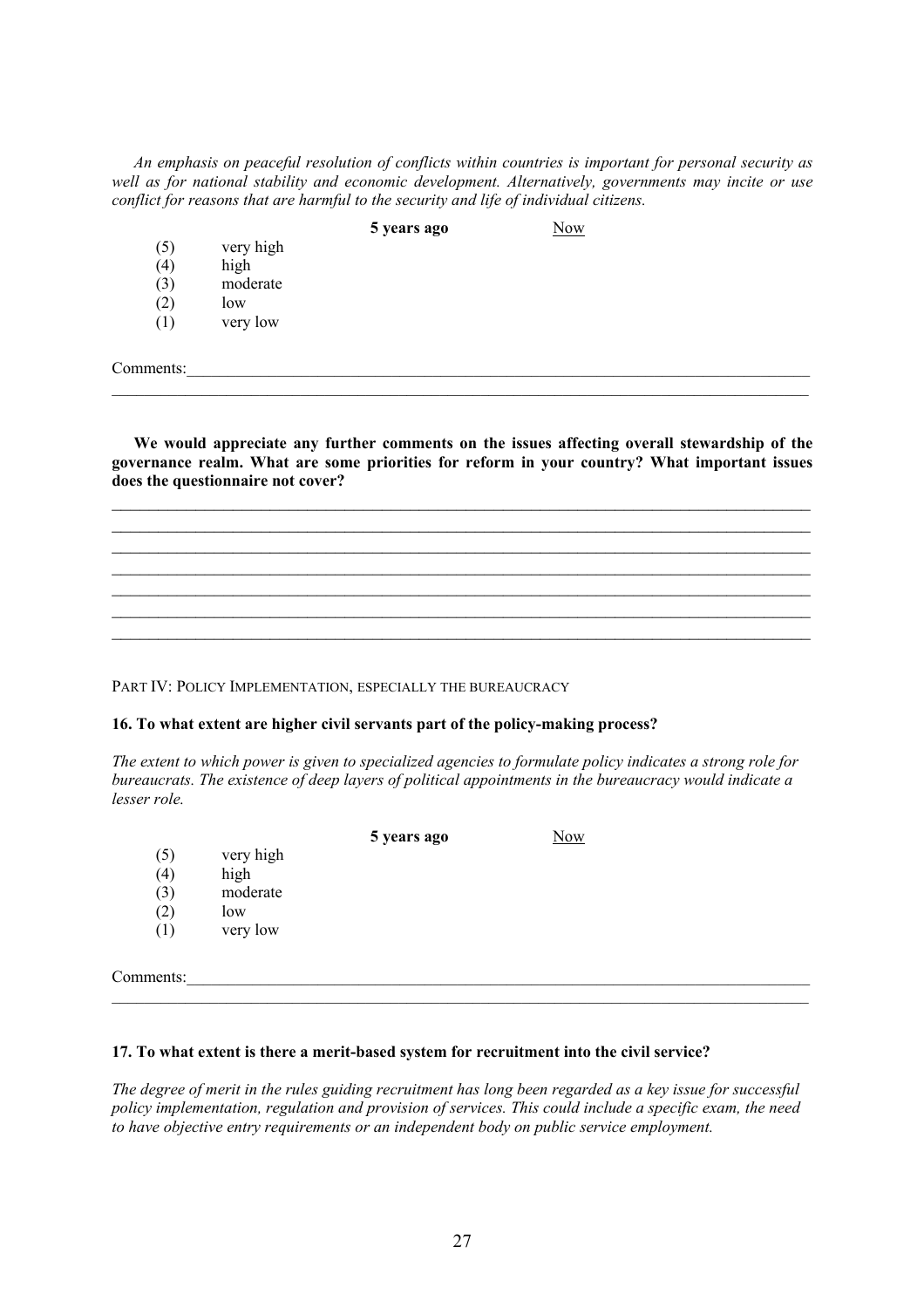*An emphasis on peaceful resolution of conflicts within countries is important for personal security as well as for national stability and economic development. Alternatively, governments may incite or use conflict for reasons that are harmful to the security and life of individual citizens.* 

**5 years ago** Now

(5) very high

- (4) high
- (3) moderate
- $(2)$  low
- (1) very low

Comments:

**We would appreciate any further comments on the issues affecting overall stewardship of the governance realm. What are some priorities for reform in your country? What important issues does the questionnaire not cover?** 

 $\mathcal{L}_\text{max}$  , and the contribution of the contribution of the contribution of the contribution of the contribution of the contribution of the contribution of the contribution of the contribution of the contribution of t  $\mathcal{L}_\text{max}$  , and the contribution of the contribution of the contribution of the contribution of the contribution of the contribution of the contribution of the contribution of the contribution of the contribution of t  $\mathcal{L}_\text{max}$  , and the contribution of the contribution of the contribution of the contribution of the contribution of the contribution of the contribution of the contribution of the contribution of the contribution of t  $\mathcal{L}_\text{max}$  , and the contribution of the contribution of the contribution of the contribution of the contribution of the contribution of the contribution of the contribution of the contribution of the contribution of t  $\mathcal{L}_\text{max}$  , and the contribution of the contribution of the contribution of the contribution of the contribution of the contribution of the contribution of the contribution of the contribution of the contribution of t  $\mathcal{L}_\text{max}$  , and the contribution of the contribution of the contribution of the contribution of the contribution of the contribution of the contribution of the contribution of the contribution of the contribution of t  $\mathcal{L}_\mathcal{L} = \{ \mathcal{L}_\mathcal{L} = \{ \mathcal{L}_\mathcal{L} = \{ \mathcal{L}_\mathcal{L} = \{ \mathcal{L}_\mathcal{L} = \{ \mathcal{L}_\mathcal{L} = \{ \mathcal{L}_\mathcal{L} = \{ \mathcal{L}_\mathcal{L} = \{ \mathcal{L}_\mathcal{L} = \{ \mathcal{L}_\mathcal{L} = \{ \mathcal{L}_\mathcal{L} = \{ \mathcal{L}_\mathcal{L} = \{ \mathcal{L}_\mathcal{L} = \{ \mathcal{L}_\mathcal{L} = \{ \mathcal{L}_\mathcal{$ 

 $\mathcal{L}_\mathcal{L} = \{ \mathcal{L}_\mathcal{L} = \{ \mathcal{L}_\mathcal{L} = \{ \mathcal{L}_\mathcal{L} = \{ \mathcal{L}_\mathcal{L} = \{ \mathcal{L}_\mathcal{L} = \{ \mathcal{L}_\mathcal{L} = \{ \mathcal{L}_\mathcal{L} = \{ \mathcal{L}_\mathcal{L} = \{ \mathcal{L}_\mathcal{L} = \{ \mathcal{L}_\mathcal{L} = \{ \mathcal{L}_\mathcal{L} = \{ \mathcal{L}_\mathcal{L} = \{ \mathcal{L}_\mathcal{L} = \{ \mathcal{L}_\mathcal{$ 

PART IV: POLICY IMPLEMENTATION, ESPECIALLY THE BUREAUCRACY

## **16. To what extent are higher civil servants part of the policy-making process?**

*The extent to which power is given to specialized agencies to formulate policy indicates a strong role for bureaucrats. The existence of deep layers of political appointments in the bureaucracy would indicate a lesser role.* 

|           |           | 5 years ago | <b>Now</b> |  |
|-----------|-----------|-------------|------------|--|
| (5)       | very high |             |            |  |
| (4)       | high      |             |            |  |
| (3)       | moderate  |             |            |  |
| (2)       | low       |             |            |  |
| (1)       | very low  |             |            |  |
|           |           |             |            |  |
| Comments: |           |             |            |  |

## **17. To what extent is there a merit-based system for recruitment into the civil service?**

*The degree of merit in the rules guiding recruitment has long been regarded as a key issue for successful policy implementation, regulation and provision of services. This could include a specific exam, the need to have objective entry requirements or an independent body on public service employment.* 

 $\mathcal{L}_\mathcal{L} = \{ \mathcal{L}_\mathcal{L} = \{ \mathcal{L}_\mathcal{L} = \{ \mathcal{L}_\mathcal{L} = \{ \mathcal{L}_\mathcal{L} = \{ \mathcal{L}_\mathcal{L} = \{ \mathcal{L}_\mathcal{L} = \{ \mathcal{L}_\mathcal{L} = \{ \mathcal{L}_\mathcal{L} = \{ \mathcal{L}_\mathcal{L} = \{ \mathcal{L}_\mathcal{L} = \{ \mathcal{L}_\mathcal{L} = \{ \mathcal{L}_\mathcal{L} = \{ \mathcal{L}_\mathcal{L} = \{ \mathcal{L}_\mathcal{$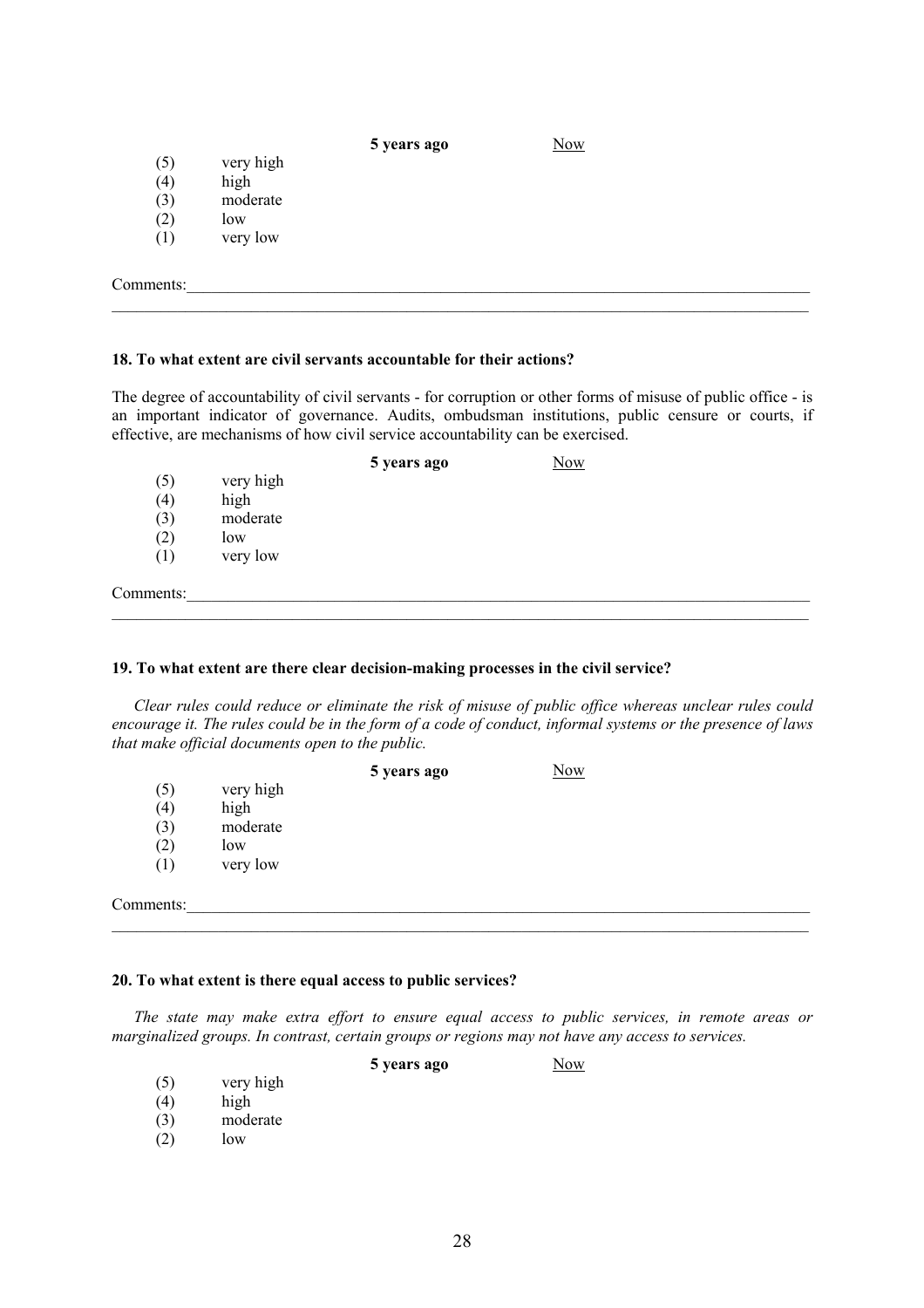## **5 years ago Now**

- (5) very high<br>(4) high (4) high
- (3) moderate
- $(2)$  low
- (1) very low

Comments:

## **18. To what extent are civil servants accountable for their actions?**

The degree of accountability of civil servants - for corruption or other forms of misuse of public office - is an important indicator of governance. Audits, ombudsman institutions, public censure or courts, if effective, are mechanisms of how civil service accountability can be exercised.

 $\mathcal{L}_\mathcal{L} = \{ \mathcal{L}_\mathcal{L} = \{ \mathcal{L}_\mathcal{L} = \{ \mathcal{L}_\mathcal{L} = \{ \mathcal{L}_\mathcal{L} = \{ \mathcal{L}_\mathcal{L} = \{ \mathcal{L}_\mathcal{L} = \{ \mathcal{L}_\mathcal{L} = \{ \mathcal{L}_\mathcal{L} = \{ \mathcal{L}_\mathcal{L} = \{ \mathcal{L}_\mathcal{L} = \{ \mathcal{L}_\mathcal{L} = \{ \mathcal{L}_\mathcal{L} = \{ \mathcal{L}_\mathcal{L} = \{ \mathcal{L}_\mathcal{$ 

|           |           | 5 years ago | <b>Now</b> |  |
|-----------|-----------|-------------|------------|--|
| (5)       | very high |             |            |  |
| (4)       | high      |             |            |  |
| (3)       | moderate  |             |            |  |
| (2)       | low       |             |            |  |
| (1)       | very low  |             |            |  |
| Comments: |           |             |            |  |
|           |           |             |            |  |

## **19. To what extent are there clear decision-making processes in the civil service?**

*Clear rules could reduce or eliminate the risk of misuse of public office whereas unclear rules could encourage it. The rules could be in the form of a code of conduct, informal systems or the presence of laws that make official documents open to the public.* 

|           |           | 5 years ago | <b>Now</b> |  |
|-----------|-----------|-------------|------------|--|
| (5)       | very high |             |            |  |
| (4)       | high      |             |            |  |
| (3)       | moderate  |             |            |  |
| (2)       | low       |             |            |  |
| (1)       | very low  |             |            |  |
|           |           |             |            |  |
| Comments: |           |             |            |  |

## **20. To what extent is there equal access to public services?**

*The state may make extra effort to ensure equal access to public services, in remote areas or marginalized groups. In contrast, certain groups or regions may not have any access to services.* 

|     |           | 5 years ago | Now |
|-----|-----------|-------------|-----|
| (5) | very high |             |     |
| (4) | high      |             |     |
| (3) | moderate  |             |     |
| (2) | low       |             |     |
|     |           |             |     |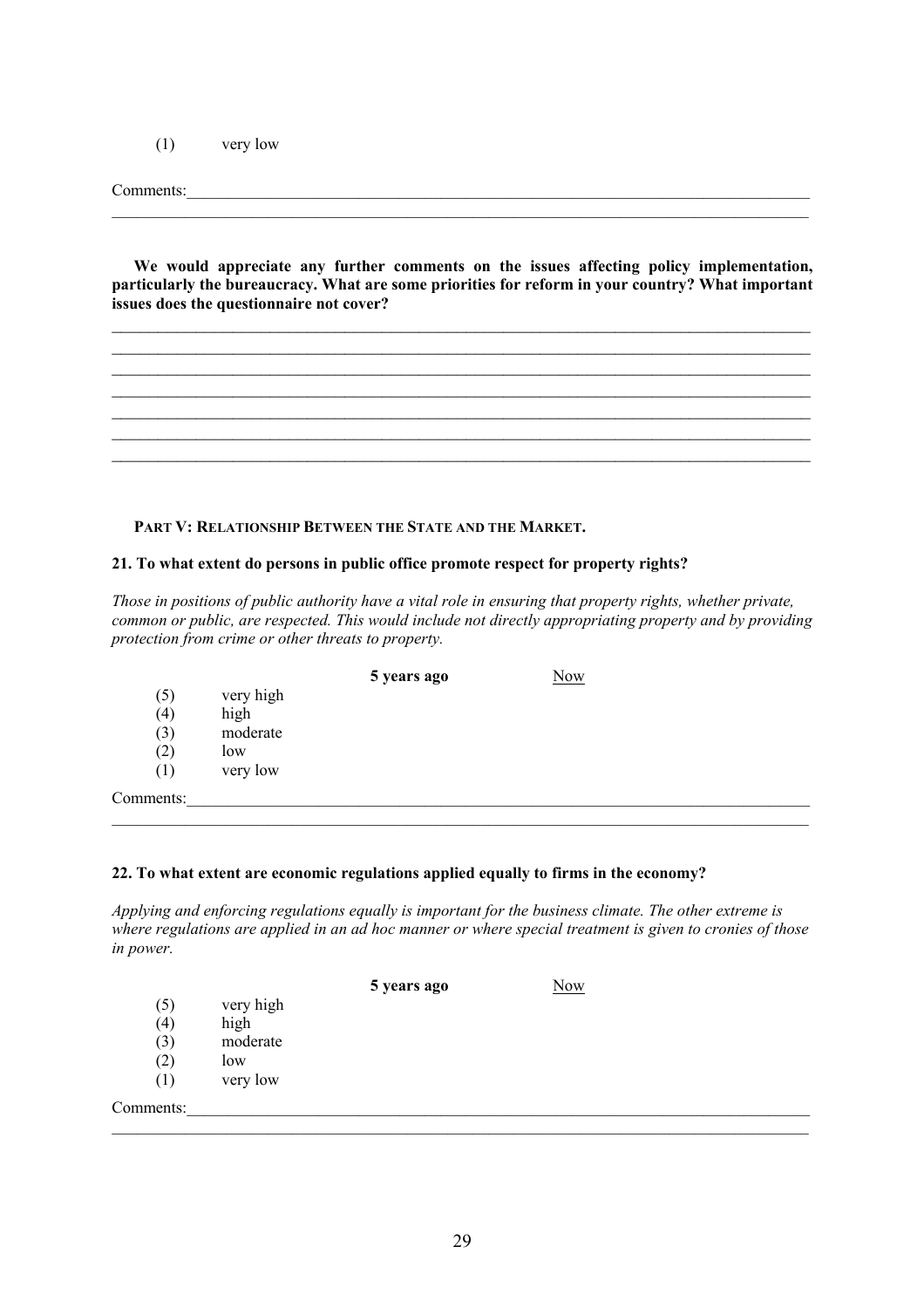(1) very low

Comments:

**We would appreciate any further comments on the issues affecting policy implementation, particularly the bureaucracy. What are some priorities for reform in your country? What important issues does the questionnaire not cover?** 

 $\mathcal{L}_\text{max}$  , and the contribution of the contribution of the contribution of the contribution of the contribution of the contribution of the contribution of the contribution of the contribution of the contribution of t  $\mathcal{L}_\text{max}$  $\mathcal{L}_\text{max}$  , and the contribution of the contribution of the contribution of the contribution of the contribution of the contribution of the contribution of the contribution of the contribution of the contribution of t  $\mathcal{L}_\text{max}$  , and the contribution of the contribution of the contribution of the contribution of the contribution of the contribution of the contribution of the contribution of the contribution of the contribution of t  $\mathcal{L}_\text{max}$  , and the contribution of the contribution of the contribution of the contribution of the contribution of the contribution of the contribution of the contribution of the contribution of the contribution of t

 $\mathcal{L}_\text{max}$  , and the contribution of the contribution of the contribution of the contribution of the contribution of the contribution of the contribution of the contribution of the contribution of the contribution of t

 $\mathcal{L}_\text{max}$ 

## **PART V: RELATIONSHIP BETWEEN THE STATE AND THE MARKET.**

## **21. To what extent do persons in public office promote respect for property rights?**

*Those in positions of public authority have a vital role in ensuring that property rights, whether private, common or public, are respected. This would include not directly appropriating property and by providing protection from crime or other threats to property.* 

|           |           | 5 years ago | <b>Now</b> |  |
|-----------|-----------|-------------|------------|--|
| (5)       | very high |             |            |  |
| (4)       | high      |             |            |  |
| (3)       | moderate  |             |            |  |
| (2)       | low       |             |            |  |
| (1)       | very low  |             |            |  |
| Comments: |           |             |            |  |

## **22. To what extent are economic regulations applied equally to firms in the economy?**

*Applying and enforcing regulations equally is important for the business climate. The other extreme is where regulations are applied in an ad hoc manner or where special treatment is given to cronies of those in power.* 

 $\mathcal{L}_\mathcal{L} = \{ \mathcal{L}_\mathcal{L} = \{ \mathcal{L}_\mathcal{L} = \{ \mathcal{L}_\mathcal{L} = \{ \mathcal{L}_\mathcal{L} = \{ \mathcal{L}_\mathcal{L} = \{ \mathcal{L}_\mathcal{L} = \{ \mathcal{L}_\mathcal{L} = \{ \mathcal{L}_\mathcal{L} = \{ \mathcal{L}_\mathcal{L} = \{ \mathcal{L}_\mathcal{L} = \{ \mathcal{L}_\mathcal{L} = \{ \mathcal{L}_\mathcal{L} = \{ \mathcal{L}_\mathcal{L} = \{ \mathcal{L}_\mathcal{$ 

|           |           | 5 years ago | Now |  |
|-----------|-----------|-------------|-----|--|
| (5)       | very high |             |     |  |
| (4)       | high      |             |     |  |
| (3)       | moderate  |             |     |  |
| (2)       | low       |             |     |  |
| (1)       | very low  |             |     |  |
| Comments: |           |             |     |  |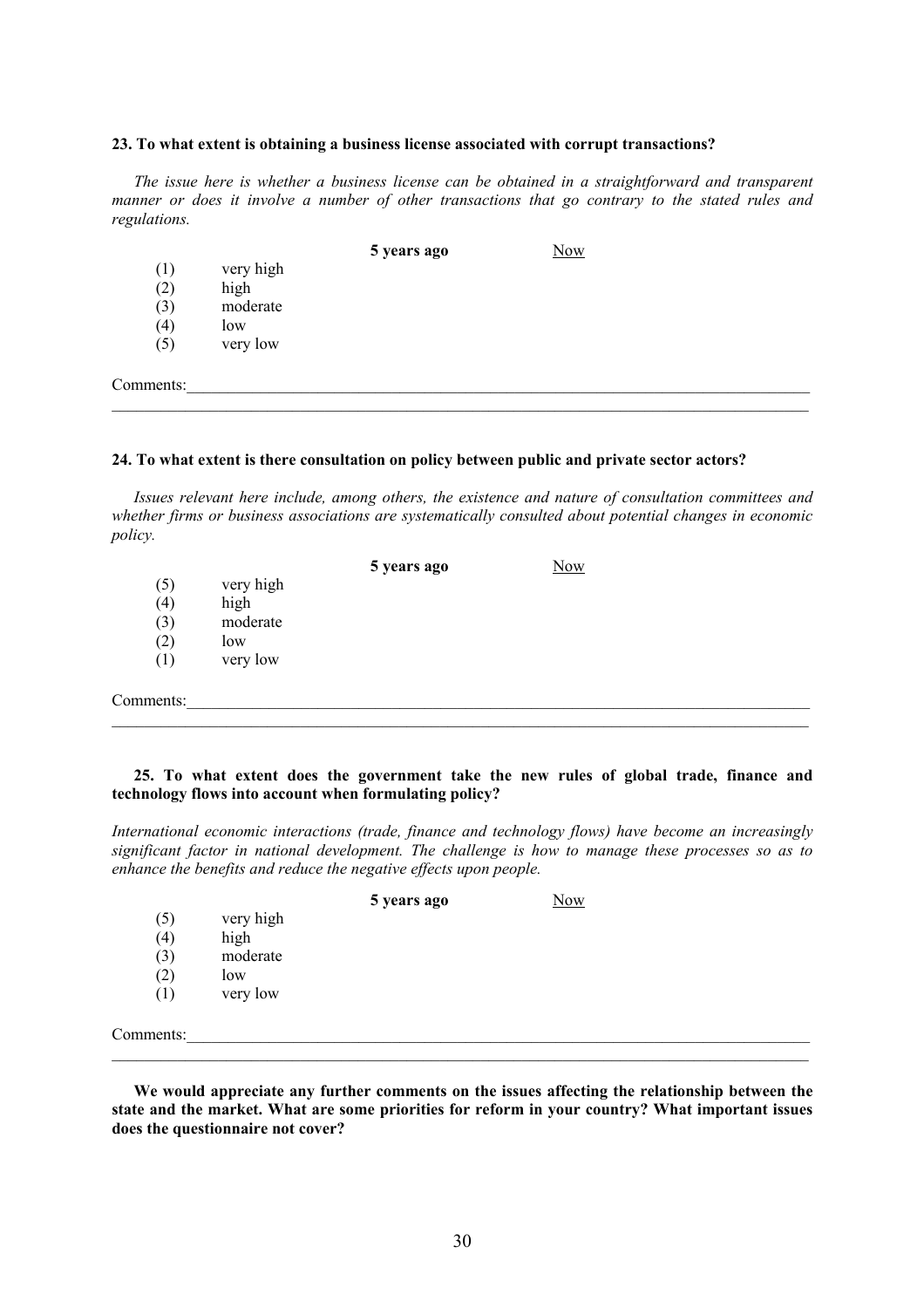#### **23. To what extent is obtaining a business license associated with corrupt transactions?**

*The issue here is whether a business license can be obtained in a straightforward and transparent manner or does it involve a number of other transactions that go contrary to the stated rules and regulations.* 

|           |           | 5 years ago | <b>Now</b> |  |
|-----------|-----------|-------------|------------|--|
| (1)       | very high |             |            |  |
| (2)       | high      |             |            |  |
| (3)       | moderate  |             |            |  |
| (4)       | low       |             |            |  |
| (5)       | very low  |             |            |  |
| Comments: |           |             |            |  |
|           |           |             |            |  |

#### **24. To what extent is there consultation on policy between public and private sector actors?**

*Issues relevant here include, among others, the existence and nature of consultation committees and whether firms or business associations are systematically consulted about potential changes in economic policy.* 

|           |           | 5 years ago | Now |  |
|-----------|-----------|-------------|-----|--|
| (5)       | very high |             |     |  |
| (4)       | high      |             |     |  |
| (3)       | moderate  |             |     |  |
| (2)       | low       |             |     |  |
| (1)       | very low  |             |     |  |
| Comments: |           |             |     |  |
|           |           |             |     |  |

**25. To what extent does the government take the new rules of global trade, finance and technology flows into account when formulating policy?** 

*International economic interactions (trade, finance and technology flows) have become an increasingly significant factor in national development. The challenge is how to manage these processes so as to enhance the benefits and reduce the negative effects upon people.* 

|           |           | 5 years ago | Now |  |
|-----------|-----------|-------------|-----|--|
| (5)       | very high |             |     |  |
| (4)       | high      |             |     |  |
| (3)       | moderate  |             |     |  |
| (2)       | low       |             |     |  |
| (1)       | very low  |             |     |  |
| Comments: |           |             |     |  |
|           |           |             |     |  |

**We would appreciate any further comments on the issues affecting the relationship between the state and the market. What are some priorities for reform in your country? What important issues does the questionnaire not cover?**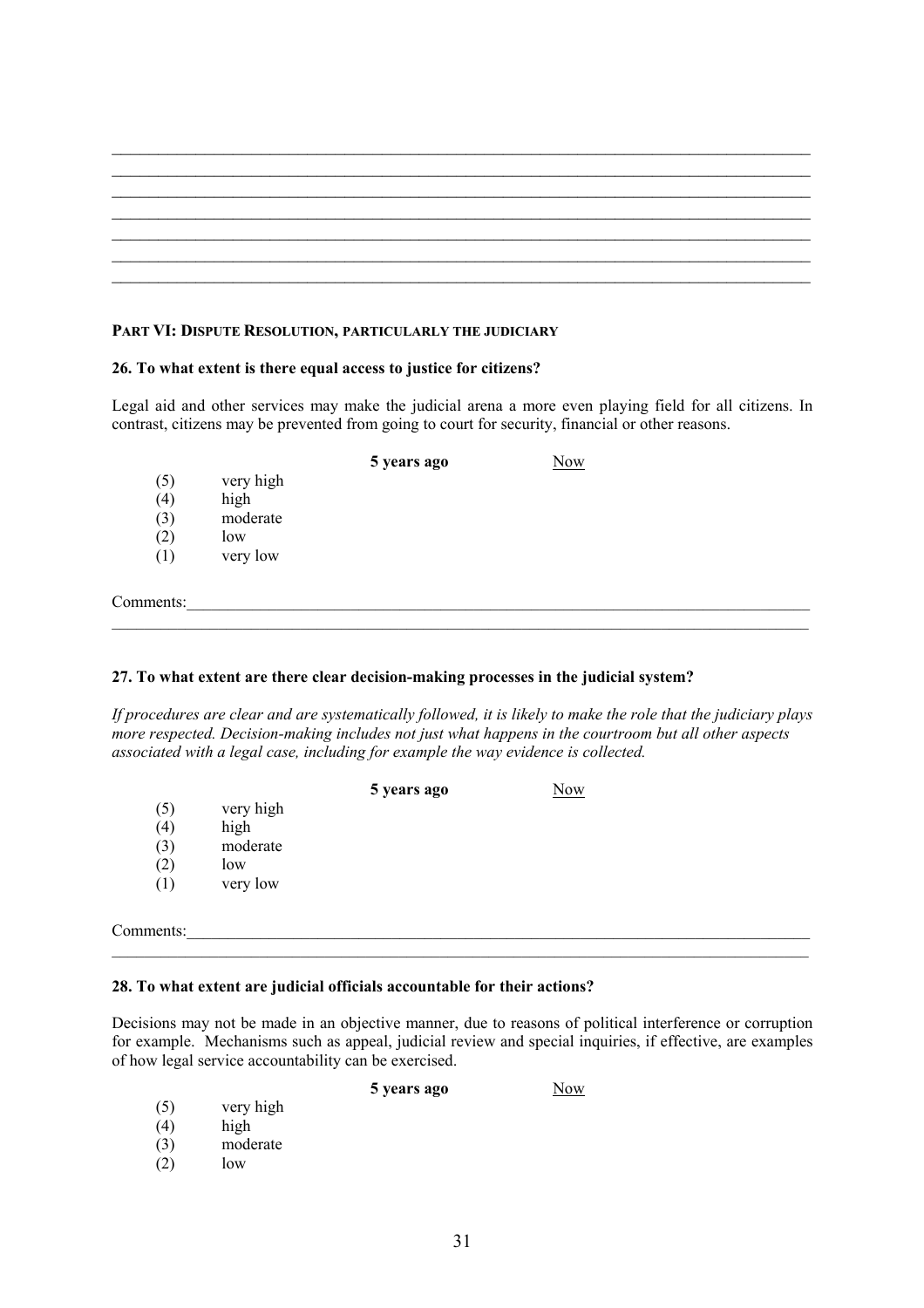$\mathcal{L}_\text{max}$  , and the contribution of the contribution of the contribution of the contribution of the contribution of the contribution of the contribution of the contribution of the contribution of the contribution of t

## **PART VI: DISPUTE RESOLUTION, PARTICULARLY THE JUDICIARY**

## **26. To what extent is there equal access to justice for citizens?**

Legal aid and other services may make the judicial arena a more even playing field for all citizens. In contrast, citizens may be prevented from going to court for security, financial or other reasons.

|           |           | 5 years ago | <b>Now</b> |  |
|-----------|-----------|-------------|------------|--|
| (5)       | very high |             |            |  |
| (4)       | high      |             |            |  |
| (3)       | moderate  |             |            |  |
| (2)       | low       |             |            |  |
| (1)       | very low  |             |            |  |
|           |           |             |            |  |
| Comments: |           |             |            |  |
|           |           |             |            |  |

## **27. To what extent are there clear decision-making processes in the judicial system?**

*If procedures are clear and are systematically followed, it is likely to make the role that the judiciary plays more respected. Decision-making includes not just what happens in the courtroom but all other aspects associated with a legal case, including for example the way evidence is collected.* 

|           |           | 5 years ago | <b>Now</b> |  |
|-----------|-----------|-------------|------------|--|
| (5)       | very high |             |            |  |
| (4)       | high      |             |            |  |
| (3)       | moderate  |             |            |  |
| (2)       | low       |             |            |  |
| (1)       | very low  |             |            |  |
|           |           |             |            |  |
| Comments: |           |             |            |  |

## **28. To what extent are judicial officials accountable for their actions?**

Decisions may not be made in an objective manner, due to reasons of political interference or corruption for example. Mechanisms such as appeal, judicial review and special inquiries, if effective, are examples of how legal service accountability can be exercised.

 $\mathcal{L}_\mathcal{L} = \{ \mathcal{L}_\mathcal{L} = \{ \mathcal{L}_\mathcal{L} = \{ \mathcal{L}_\mathcal{L} = \{ \mathcal{L}_\mathcal{L} = \{ \mathcal{L}_\mathcal{L} = \{ \mathcal{L}_\mathcal{L} = \{ \mathcal{L}_\mathcal{L} = \{ \mathcal{L}_\mathcal{L} = \{ \mathcal{L}_\mathcal{L} = \{ \mathcal{L}_\mathcal{L} = \{ \mathcal{L}_\mathcal{L} = \{ \mathcal{L}_\mathcal{L} = \{ \mathcal{L}_\mathcal{L} = \{ \mathcal{L}_\mathcal{$ 

**5 years ago** Now

- (5) very high
- (4) high
- (3) moderate
- $(2)$  low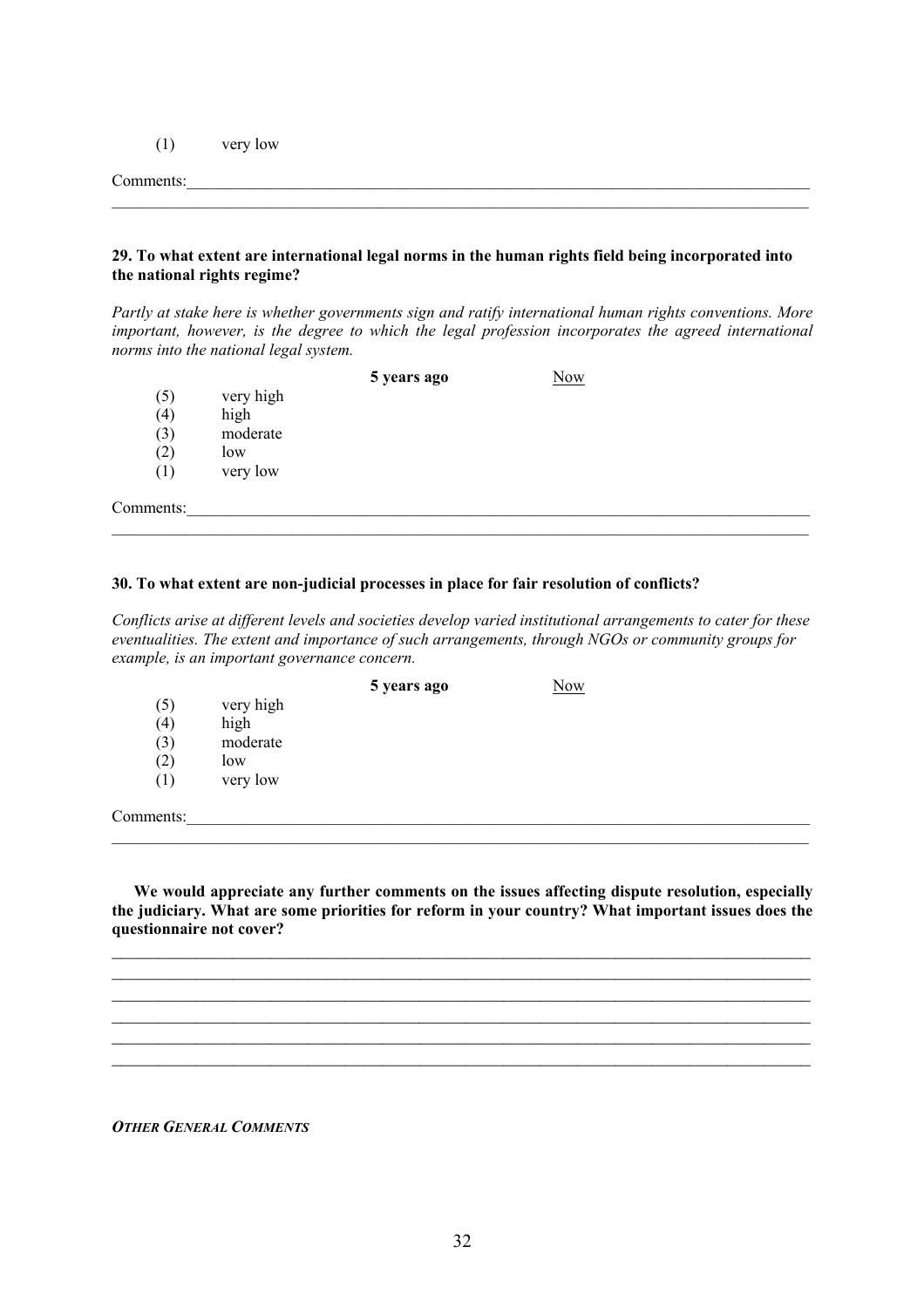(1) very low

#### Comments:

#### **29. To what extent are international legal norms in the human rights field being incorporated into the national rights regime?**

 $\mathcal{L}_\mathcal{L} = \{ \mathcal{L}_\mathcal{L} = \{ \mathcal{L}_\mathcal{L} = \{ \mathcal{L}_\mathcal{L} = \{ \mathcal{L}_\mathcal{L} = \{ \mathcal{L}_\mathcal{L} = \{ \mathcal{L}_\mathcal{L} = \{ \mathcal{L}_\mathcal{L} = \{ \mathcal{L}_\mathcal{L} = \{ \mathcal{L}_\mathcal{L} = \{ \mathcal{L}_\mathcal{L} = \{ \mathcal{L}_\mathcal{L} = \{ \mathcal{L}_\mathcal{L} = \{ \mathcal{L}_\mathcal{L} = \{ \mathcal{L}_\mathcal{$ 

*Partly at stake here is whether governments sign and ratify international human rights conventions. More important, however, is the degree to which the legal profession incorporates the agreed international norms into the national legal system.* 

| 5 years ago | <b>Now</b> |
|-------------|------------|
|-------------|------------|

- (5) very high
- (4) high
- (3) moderate
- $(2)$  low
- (1) very low

Comments:

## **30. To what extent are non-judicial processes in place for fair resolution of conflicts?**

*Conflicts arise at different levels and societies develop varied institutional arrangements to cater for these eventualities. The extent and importance of such arrangements, through NGOs or community groups for example, is an important governance concern.*

 $\mathcal{L}_\mathcal{L} = \{ \mathcal{L}_\mathcal{L} = \{ \mathcal{L}_\mathcal{L} = \{ \mathcal{L}_\mathcal{L} = \{ \mathcal{L}_\mathcal{L} = \{ \mathcal{L}_\mathcal{L} = \{ \mathcal{L}_\mathcal{L} = \{ \mathcal{L}_\mathcal{L} = \{ \mathcal{L}_\mathcal{L} = \{ \mathcal{L}_\mathcal{L} = \{ \mathcal{L}_\mathcal{L} = \{ \mathcal{L}_\mathcal{L} = \{ \mathcal{L}_\mathcal{L} = \{ \mathcal{L}_\mathcal{L} = \{ \mathcal{L}_\mathcal{$ 

|           |           | 5 years ago | Now |  |
|-----------|-----------|-------------|-----|--|
| (5)       | very high |             |     |  |
| (4)       | high      |             |     |  |
| (3)       | moderate  |             |     |  |
| (2)       | low       |             |     |  |
| (1)       | very low  |             |     |  |
|           |           |             |     |  |
| Comments: |           |             |     |  |

**We would appreciate any further comments on the issues affecting dispute resolution, especially the judiciary. What are some priorities for reform in your country? What important issues does the questionnaire not cover?** 

 $\mathcal{L}_\text{max}$  , and the contribution of the contribution of the contribution of the contribution of the contribution of the contribution of the contribution of the contribution of the contribution of the contribution of t  $\mathcal{L}_\text{max}$  , and the contribution of the contribution of the contribution of the contribution of the contribution of the contribution of the contribution of the contribution of the contribution of the contribution of t  $\mathcal{L}_\text{max}$  , and the contribution of the contribution of the contribution of the contribution of the contribution of the contribution of the contribution of the contribution of the contribution of the contribution of t  $\mathcal{L}_\mathcal{L} = \{ \mathcal{L}_\mathcal{L} = \{ \mathcal{L}_\mathcal{L} = \{ \mathcal{L}_\mathcal{L} = \{ \mathcal{L}_\mathcal{L} = \{ \mathcal{L}_\mathcal{L} = \{ \mathcal{L}_\mathcal{L} = \{ \mathcal{L}_\mathcal{L} = \{ \mathcal{L}_\mathcal{L} = \{ \mathcal{L}_\mathcal{L} = \{ \mathcal{L}_\mathcal{L} = \{ \mathcal{L}_\mathcal{L} = \{ \mathcal{L}_\mathcal{L} = \{ \mathcal{L}_\mathcal{L} = \{ \mathcal{L}_\mathcal{$  $\mathcal{L}_\text{max}$  , and the contribution of the contribution of the contribution of the contribution of the contribution of the contribution of the contribution of the contribution of the contribution of the contribution of t  $\mathcal{L}_\text{max}$  , and the contribution of the contribution of the contribution of the contribution of the contribution of the contribution of the contribution of the contribution of the contribution of the contribution of t

*OTHER GENERAL COMMENTS*